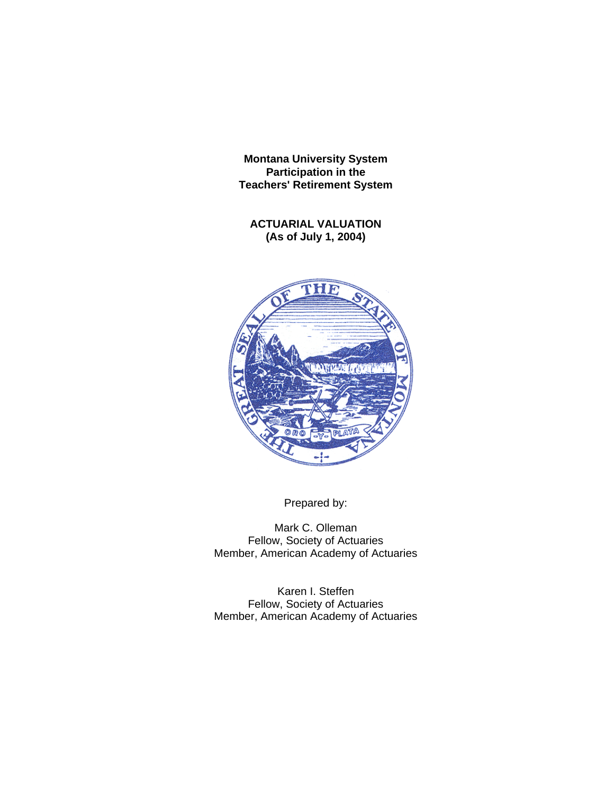**ACTUARIAL VALUATION (As of July 1, 2004)**



Prepared by:

Mark C. Olleman Fellow, Society of Actuaries Member, American Academy of Actuaries

Karen I. Steffen Fellow, Society of Actuaries Member, American Academy of Actuaries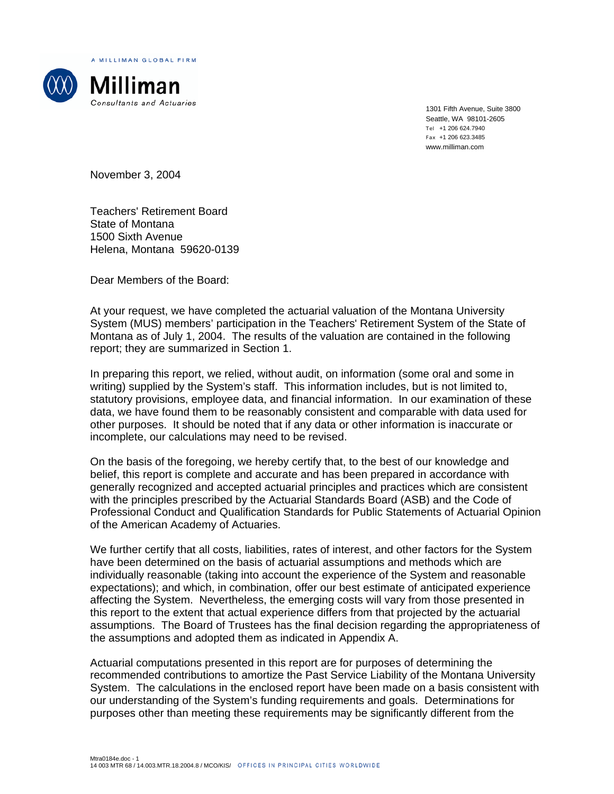A MILLIMAN GLOBAL FIRM



1301 Fifth Avenue, Suite 3800 Seattle, WA 98101-2605 Tel +1 206 624.7940 Fax +1 206 623.3485 www.milliman.com

November 3, 2004

Teachers' Retirement Board State of Montana 1500 Sixth Avenue Helena, Montana 59620-0139

Dear Members of the Board:

At your request, we have completed the actuarial valuation of the Montana University System (MUS) members' participation in the Teachers' Retirement System of the State of Montana as of July 1, 2004. The results of the valuation are contained in the following report; they are summarized in Section 1.

In preparing this report, we relied, without audit, on information (some oral and some in writing) supplied by the System's staff. This information includes, but is not limited to, statutory provisions, employee data, and financial information. In our examination of these data, we have found them to be reasonably consistent and comparable with data used for other purposes. It should be noted that if any data or other information is inaccurate or incomplete, our calculations may need to be revised.

On the basis of the foregoing, we hereby certify that, to the best of our knowledge and belief, this report is complete and accurate and has been prepared in accordance with generally recognized and accepted actuarial principles and practices which are consistent with the principles prescribed by the Actuarial Standards Board (ASB) and the Code of Professional Conduct and Qualification Standards for Public Statements of Actuarial Opinion of the American Academy of Actuaries.

We further certify that all costs, liabilities, rates of interest, and other factors for the System have been determined on the basis of actuarial assumptions and methods which are individually reasonable (taking into account the experience of the System and reasonable expectations); and which, in combination, offer our best estimate of anticipated experience affecting the System. Nevertheless, the emerging costs will vary from those presented in this report to the extent that actual experience differs from that projected by the actuarial assumptions. The Board of Trustees has the final decision regarding the appropriateness of the assumptions and adopted them as indicated in Appendix A.

Actuarial computations presented in this report are for purposes of determining the recommended contributions to amortize the Past Service Liability of the Montana University System. The calculations in the enclosed report have been made on a basis consistent with our understanding of the System's funding requirements and goals. Determinations for purposes other than meeting these requirements may be significantly different from the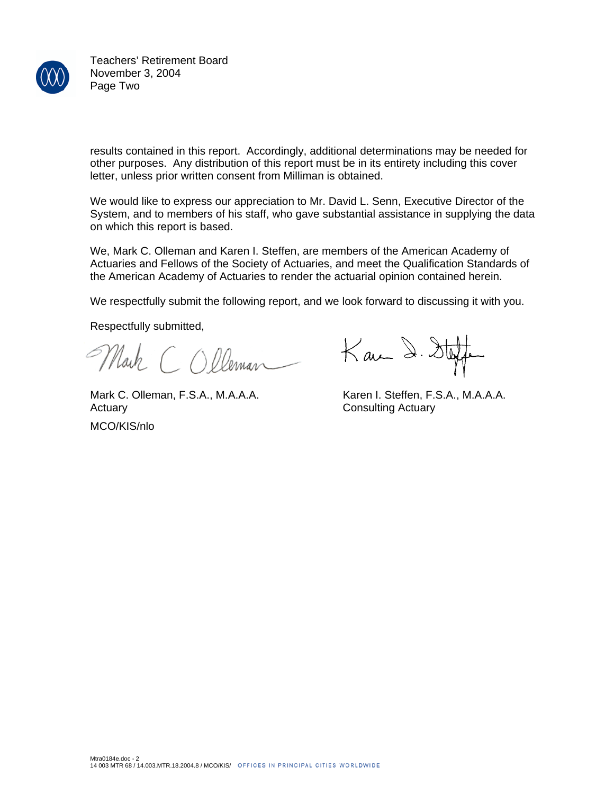

Teachers' Retirement Board November 3, 2004 Page Two

results contained in this report. Accordingly, additional determinations may be needed for other purposes. Any distribution of this report must be in its entirety including this cover letter, unless prior written consent from Milliman is obtained.

We would like to express our appreciation to Mr. David L. Senn, Executive Director of the System, and to members of his staff, who gave substantial assistance in supplying the data on which this report is based.

We, Mark C. Olleman and Karen I. Steffen, are members of the American Academy of Actuaries and Fellows of the Society of Actuaries, and meet the Qualification Standards of the American Academy of Actuaries to render the actuarial opinion contained herein.

We respectfully submit the following report, and we look forward to discussing it with you.

Respectfully submitted,

Mark COlleman

Mark C. Olleman, F.S.A., M.A.A.A. Karen I. Steffen, F.S.A., M.A.A.A. Actuary **Consulting Actuary** 

MCO/KIS/nlo

 $K$ an 2.  $\delta t$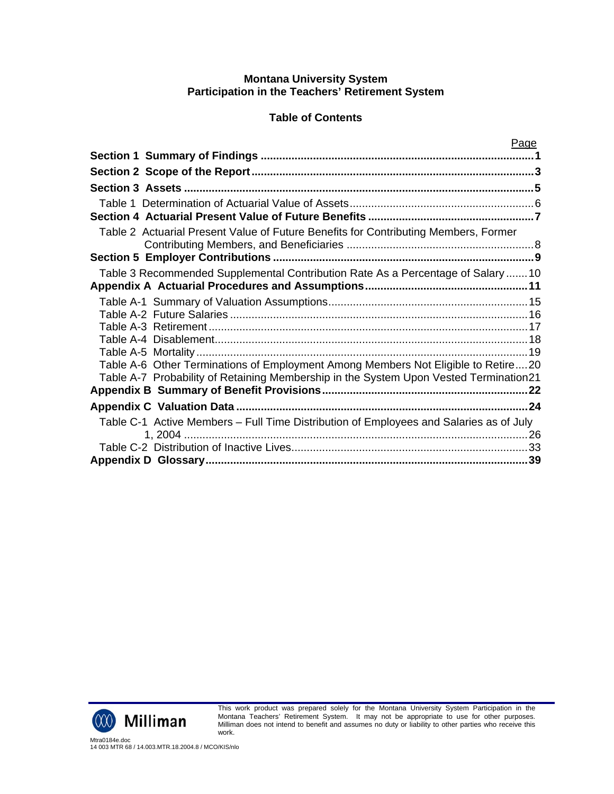# **Table of Contents**

|                                                                                        | Page |
|----------------------------------------------------------------------------------------|------|
|                                                                                        |      |
|                                                                                        |      |
|                                                                                        |      |
|                                                                                        |      |
|                                                                                        |      |
| Table 2 Actuarial Present Value of Future Benefits for Contributing Members, Former    |      |
|                                                                                        |      |
| Table 3 Recommended Supplemental Contribution Rate As a Percentage of Salary 10        |      |
|                                                                                        |      |
|                                                                                        |      |
|                                                                                        |      |
|                                                                                        |      |
|                                                                                        |      |
| Table A-6 Other Terminations of Employment Among Members Not Eligible to Retire20      |      |
| Table A-7 Probability of Retaining Membership in the System Upon Vested Termination21  |      |
|                                                                                        |      |
|                                                                                        |      |
| Table C-1 Active Members - Full Time Distribution of Employees and Salaries as of July |      |
|                                                                                        |      |
|                                                                                        |      |



This work product was prepared solely for the Montana University System Participation in the Montana Teachers' Retirement System. It may not be appropriate to use for other purposes. Milliman does not intend to benefit and assumes no duty or liability to other parties who receive this work.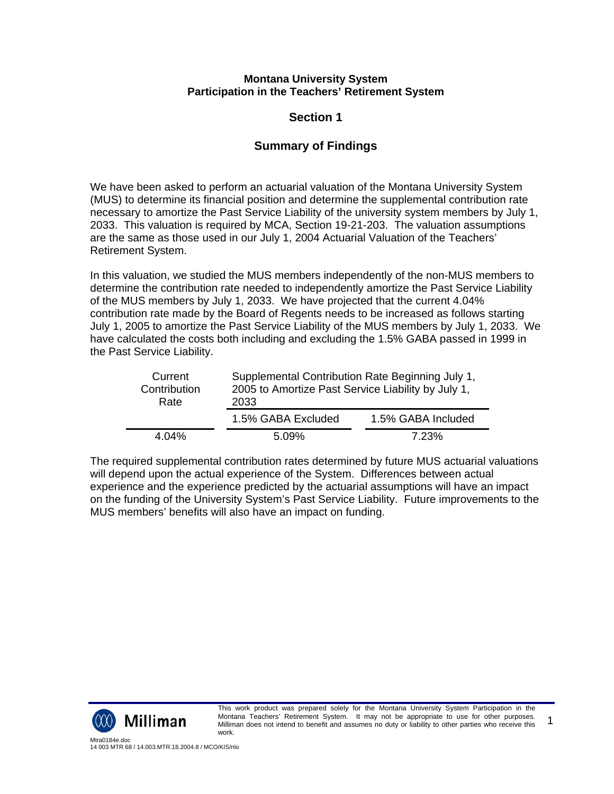# **Section 1**

# **Summary of Findings**

We have been asked to perform an actuarial valuation of the Montana University System (MUS) to determine its financial position and determine the supplemental contribution rate necessary to amortize the Past Service Liability of the university system members by July 1, 2033. This valuation is required by MCA, Section 19-21-203. The valuation assumptions are the same as those used in our July 1, 2004 Actuarial Valuation of the Teachers' Retirement System.

In this valuation, we studied the MUS members independently of the non-MUS members to determine the contribution rate needed to independently amortize the Past Service Liability of the MUS members by July 1, 2033. We have projected that the current 4.04% contribution rate made by the Board of Regents needs to be increased as follows starting July 1, 2005 to amortize the Past Service Liability of the MUS members by July 1, 2033. We have calculated the costs both including and excluding the 1.5% GABA passed in 1999 in the Past Service Liability.

| Current<br>Contribution<br>Rate | Supplemental Contribution Rate Beginning July 1,<br>2005 to Amortize Past Service Liability by July 1,<br>2033 |                    |  |
|---------------------------------|----------------------------------------------------------------------------------------------------------------|--------------------|--|
|                                 | 1.5% GABA Excluded                                                                                             | 1.5% GABA Included |  |
| 4.04%                           | $5.09\%$                                                                                                       | 7.23%              |  |

The required supplemental contribution rates determined by future MUS actuarial valuations will depend upon the actual experience of the System. Differences between actual experience and the experience predicted by the actuarial assumptions will have an impact on the funding of the University System's Past Service Liability. Future improvements to the MUS members' benefits will also have an impact on funding.

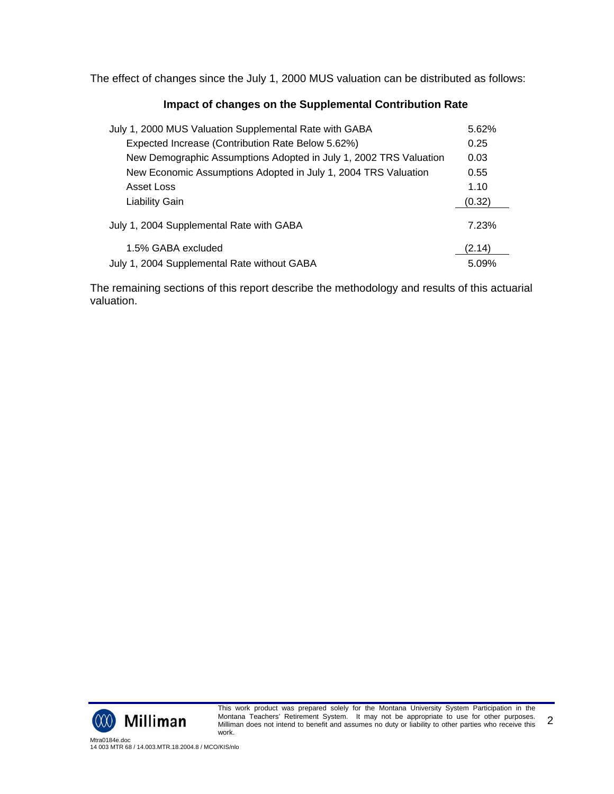The effect of changes since the July 1, 2000 MUS valuation can be distributed as follows:

#### **Impact of changes on the Supplemental Contribution Rate**

| July 1, 2000 MUS Valuation Supplemental Rate with GABA            | 5.62%  |
|-------------------------------------------------------------------|--------|
| Expected Increase (Contribution Rate Below 5.62%)                 | 0.25   |
| New Demographic Assumptions Adopted in July 1, 2002 TRS Valuation | 0.03   |
| New Economic Assumptions Adopted in July 1, 2004 TRS Valuation    | 0.55   |
| Asset Loss                                                        | 1.10   |
| Liability Gain                                                    | (0.32) |
| July 1, 2004 Supplemental Rate with GABA                          | 7.23%  |
| 1.5% GABA excluded                                                | (2.14) |
| July 1, 2004 Supplemental Rate without GABA                       | 5.09%  |

The remaining sections of this report describe the methodology and results of this actuarial valuation.



This work product was prepared solely for the Montana University System Participation in the Montana Teachers' Retirement System. It may not be appropriate to use for other purposes. Milliman does not intend to benefit and assumes no duty or liability to other parties who receive this work. 2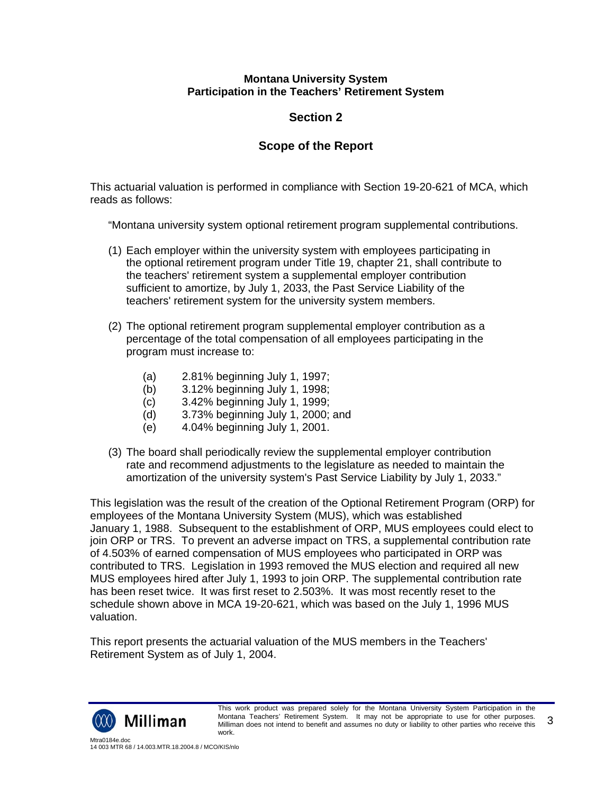# **Section 2**

# **Scope of the Report**

This actuarial valuation is performed in compliance with Section 19-20-621 of MCA, which reads as follows:

"Montana university system optional retirement program supplemental contributions.

- (1) Each employer within the university system with employees participating in the optional retirement program under Title 19, chapter 21, shall contribute to the teachers' retirement system a supplemental employer contribution sufficient to amortize, by July 1, 2033, the Past Service Liability of the teachers' retirement system for the university system members.
- (2) The optional retirement program supplemental employer contribution as a percentage of the total compensation of all employees participating in the program must increase to:
	- (a) 2.81% beginning July 1, 1997;
	- (b) 3.12% beginning July 1, 1998;
	- (c) 3.42% beginning July 1, 1999;
	- (d) 3.73% beginning July 1, 2000; and
	- (e) 4.04% beginning July 1, 2001.
- (3) The board shall periodically review the supplemental employer contribution rate and recommend adjustments to the legislature as needed to maintain the amortization of the university system's Past Service Liability by July 1, 2033."

This legislation was the result of the creation of the Optional Retirement Program (ORP) for employees of the Montana University System (MUS), which was established January 1, 1988. Subsequent to the establishment of ORP, MUS employees could elect to join ORP or TRS. To prevent an adverse impact on TRS, a supplemental contribution rate of 4.503% of earned compensation of MUS employees who participated in ORP was contributed to TRS. Legislation in 1993 removed the MUS election and required all new MUS employees hired after July 1, 1993 to join ORP. The supplemental contribution rate has been reset twice. It was first reset to 2.503%. It was most recently reset to the schedule shown above in MCA 19-20-621, which was based on the July 1, 1996 MUS valuation.

This report presents the actuarial valuation of the MUS members in the Teachers' Retirement System as of July 1, 2004.

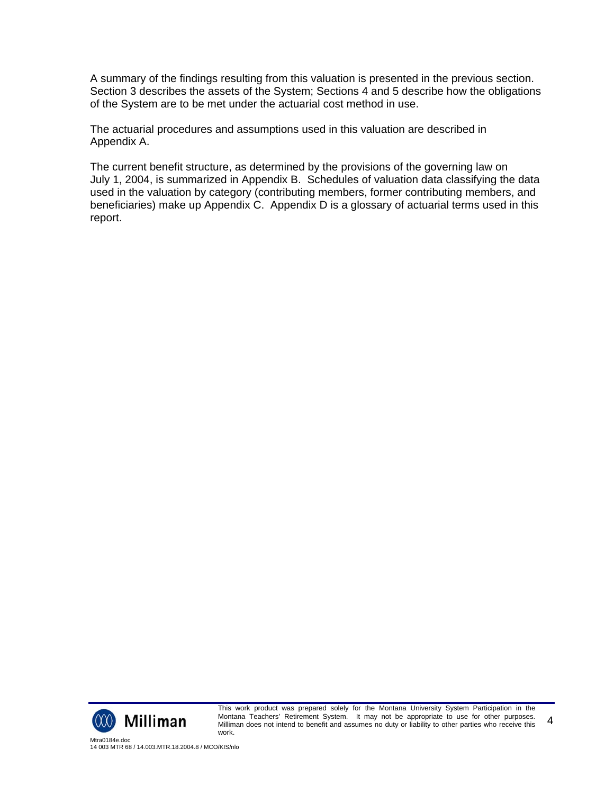A summary of the findings resulting from this valuation is presented in the previous section. Section 3 describes the assets of the System; Sections 4 and 5 describe how the obligations of the System are to be met under the actuarial cost method in use.

The actuarial procedures and assumptions used in this valuation are described in Appendix A.

The current benefit structure, as determined by the provisions of the governing law on July 1, 2004, is summarized in Appendix B. Schedules of valuation data classifying the data used in the valuation by category (contributing members, former contributing members, and beneficiaries) make up Appendix C. Appendix D is a glossary of actuarial terms used in this report.



This work product was prepared solely for the Montana University System Participation in the Montana Teachers' Retirement System. It may not be appropriate to use for other purposes. Milliman does not intend to benefit and assumes no duty or liability to other parties who receive this work. 4

Mtra0184e.doc 14 003 MTR 68 / 14.003.MTR.18.2004.8 / MCO/KIS/nlo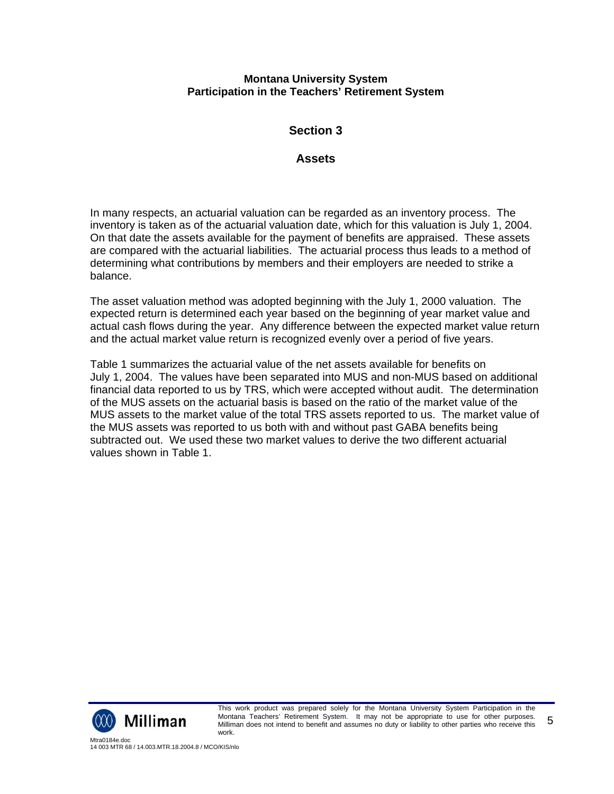# **Section 3**

## **Assets**

In many respects, an actuarial valuation can be regarded as an inventory process. The inventory is taken as of the actuarial valuation date, which for this valuation is July 1, 2004. On that date the assets available for the payment of benefits are appraised. These assets are compared with the actuarial liabilities. The actuarial process thus leads to a method of determining what contributions by members and their employers are needed to strike a balance.

The asset valuation method was adopted beginning with the July 1, 2000 valuation. The expected return is determined each year based on the beginning of year market value and actual cash flows during the year. Any difference between the expected market value return and the actual market value return is recognized evenly over a period of five years.

Table 1 summarizes the actuarial value of the net assets available for benefits on July 1, 2004. The values have been separated into MUS and non-MUS based on additional financial data reported to us by TRS, which were accepted without audit. The determination of the MUS assets on the actuarial basis is based on the ratio of the market value of the MUS assets to the market value of the total TRS assets reported to us. The market value of the MUS assets was reported to us both with and without past GABA benefits being subtracted out. We used these two market values to derive the two different actuarial values shown in Table 1.



This work product was prepared solely for the Montana University System Participation in the Montana Teachers' Retirement System. It may not be appropriate to use for other purposes. Milliman does not intend to benefit and assumes no duty or liability to other parties who receive this work. 5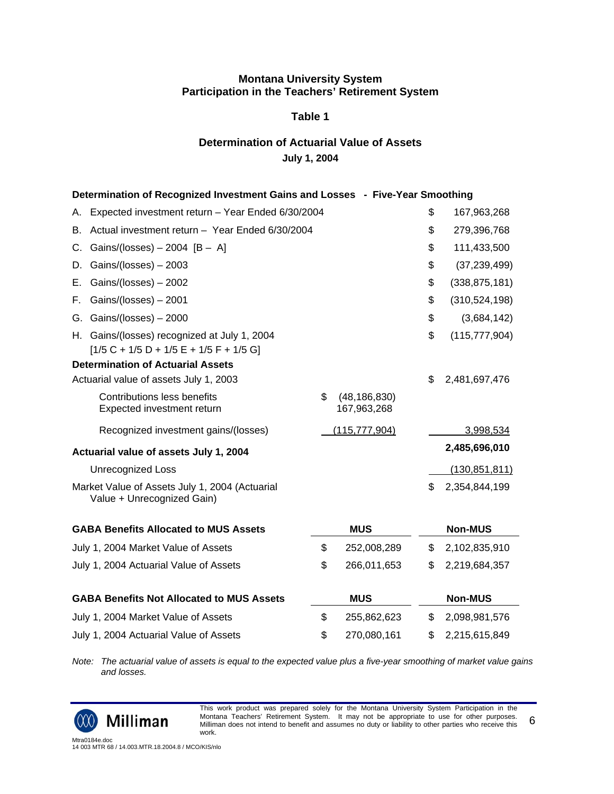#### **Table 1**

## **Determination of Actuarial Value of Assets July 1, 2004**

|                                                           |                                                                                                                                                                                                                                                                                                                                                                                                                                                                                                                                     |                                                   | \$              | 167,963,268                                                                   |
|-----------------------------------------------------------|-------------------------------------------------------------------------------------------------------------------------------------------------------------------------------------------------------------------------------------------------------------------------------------------------------------------------------------------------------------------------------------------------------------------------------------------------------------------------------------------------------------------------------------|---------------------------------------------------|-----------------|-------------------------------------------------------------------------------|
|                                                           |                                                                                                                                                                                                                                                                                                                                                                                                                                                                                                                                     |                                                   | \$              | 279,396,768                                                                   |
|                                                           |                                                                                                                                                                                                                                                                                                                                                                                                                                                                                                                                     |                                                   | \$              | 111,433,500                                                                   |
| Gains/(losses) $-2003$                                    |                                                                                                                                                                                                                                                                                                                                                                                                                                                                                                                                     |                                                   | \$              | (37, 239, 499)                                                                |
| Gains/(losses) $-2002$                                    |                                                                                                                                                                                                                                                                                                                                                                                                                                                                                                                                     |                                                   | \$              | (338, 875, 181)                                                               |
| Gains/(losses) - 2001                                     |                                                                                                                                                                                                                                                                                                                                                                                                                                                                                                                                     |                                                   | \$              | (310, 524, 198)                                                               |
|                                                           |                                                                                                                                                                                                                                                                                                                                                                                                                                                                                                                                     |                                                   | \$              | (3,684,142)                                                                   |
| $[1/5 C + 1/5 D + 1/5 E + 1/5 F + 1/5 G]$                 |                                                                                                                                                                                                                                                                                                                                                                                                                                                                                                                                     |                                                   | \$              | (115, 777, 904)                                                               |
|                                                           |                                                                                                                                                                                                                                                                                                                                                                                                                                                                                                                                     |                                                   |                 |                                                                               |
|                                                           |                                                                                                                                                                                                                                                                                                                                                                                                                                                                                                                                     |                                                   | \$              | 2,481,697,476                                                                 |
| Contributions less benefits<br>Expected investment return | \$                                                                                                                                                                                                                                                                                                                                                                                                                                                                                                                                  | (48, 186, 830)<br>167,963,268                     |                 |                                                                               |
| Recognized investment gains/(losses)                      |                                                                                                                                                                                                                                                                                                                                                                                                                                                                                                                                     |                                                   |                 | 3,998,534                                                                     |
|                                                           |                                                                                                                                                                                                                                                                                                                                                                                                                                                                                                                                     |                                                   |                 | 2,485,696,010                                                                 |
| <b>Unrecognized Loss</b>                                  |                                                                                                                                                                                                                                                                                                                                                                                                                                                                                                                                     |                                                   |                 | (130, 851, 811)                                                               |
| Value + Unrecognized Gain)                                |                                                                                                                                                                                                                                                                                                                                                                                                                                                                                                                                     |                                                   | \$              | 2,354,844,199                                                                 |
|                                                           |                                                                                                                                                                                                                                                                                                                                                                                                                                                                                                                                     | <b>MUS</b>                                        |                 | <b>Non-MUS</b>                                                                |
|                                                           | \$                                                                                                                                                                                                                                                                                                                                                                                                                                                                                                                                  | 252,008,289                                       | \$              | 2,102,835,910                                                                 |
|                                                           | \$                                                                                                                                                                                                                                                                                                                                                                                                                                                                                                                                  | 266,011,653                                       | \$              | 2,219,684,357                                                                 |
|                                                           |                                                                                                                                                                                                                                                                                                                                                                                                                                                                                                                                     | <b>MUS</b>                                        |                 | <b>Non-MUS</b>                                                                |
| July 1, 2004 Market Value of Assets                       | \$                                                                                                                                                                                                                                                                                                                                                                                                                                                                                                                                  | 255,862,623                                       | \$              | 2,098,981,576                                                                 |
|                                                           |                                                                                                                                                                                                                                                                                                                                                                                                                                                                                                                                     |                                                   |                 |                                                                               |
|                                                           | Actual investment return - Year Ended 6/30/2004<br>Gains/(losses) $-2004$ [B $-$ A]<br>Gains/(losses) - 2000<br>H. Gains/(losses) recognized at July 1, 2004<br><b>Determination of Actuarial Assets</b><br>Actuarial value of assets July 1, 2003<br>Actuarial value of assets July 1, 2004<br>Market Value of Assets July 1, 2004 (Actuarial<br><b>GABA Benefits Allocated to MUS Assets</b><br>July 1, 2004 Market Value of Assets<br>July 1, 2004 Actuarial Value of Assets<br><b>GABA Benefits Not Allocated to MUS Assets</b> | Expected investment return - Year Ended 6/30/2004 | (115, 777, 904) | Determination of Recognized Investment Gains and Losses - Five-Year Smoothing |

*Note: The actuarial value of assets is equal to the expected value plus a five-year smoothing of market value gains and losses.*



This work product was prepared solely for the Montana University System Participation in the Montana Teachers' Retirement System. It may not be appropriate to use for other purposes. Milliman does not intend to benefit and assumes no duty or liability to other parties who receive this work. 6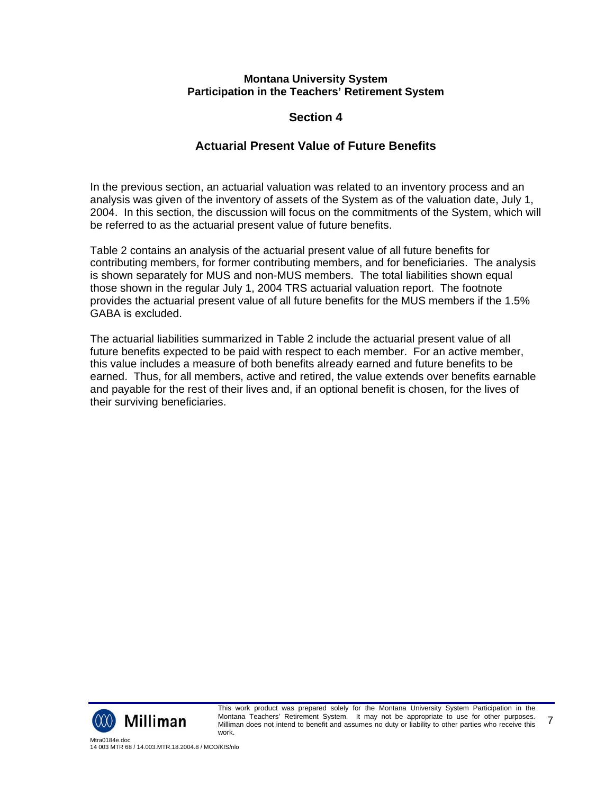# **Section 4**

# **Actuarial Present Value of Future Benefits**

In the previous section, an actuarial valuation was related to an inventory process and an analysis was given of the inventory of assets of the System as of the valuation date, July 1, 2004. In this section, the discussion will focus on the commitments of the System, which will be referred to as the actuarial present value of future benefits.

Table 2 contains an analysis of the actuarial present value of all future benefits for contributing members, for former contributing members, and for beneficiaries. The analysis is shown separately for MUS and non-MUS members. The total liabilities shown equal those shown in the regular July 1, 2004 TRS actuarial valuation report. The footnote provides the actuarial present value of all future benefits for the MUS members if the 1.5% GABA is excluded.

The actuarial liabilities summarized in Table 2 include the actuarial present value of all future benefits expected to be paid with respect to each member. For an active member, this value includes a measure of both benefits already earned and future benefits to be earned. Thus, for all members, active and retired, the value extends over benefits earnable and payable for the rest of their lives and, if an optional benefit is chosen, for the lives of their surviving beneficiaries.

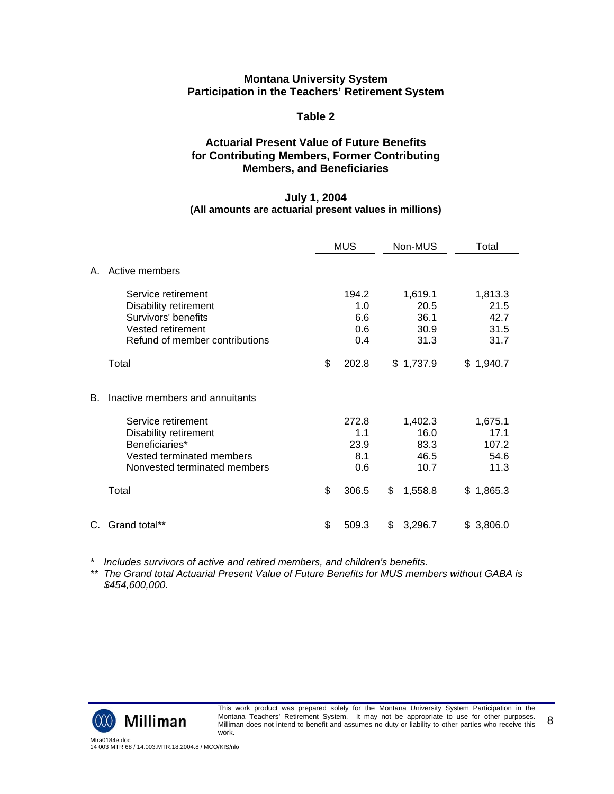#### **Table 2**

### **Actuarial Present Value of Future Benefits for Contributing Members, Former Contributing Members, and Beneficiaries**

#### **July 1, 2004 (All amounts are actuarial present values in millions)**

|         |                                                                                                                           | <b>MUS</b>                        | Non-MUS                                 | Total                                   |
|---------|---------------------------------------------------------------------------------------------------------------------------|-----------------------------------|-----------------------------------------|-----------------------------------------|
| $A_{-}$ | Active members                                                                                                            |                                   |                                         |                                         |
|         | Service retirement<br>Disability retirement<br>Survivors' benefits<br>Vested retirement<br>Refund of member contributions | 194.2<br>1.0<br>6.6<br>0.6<br>0.4 | 1,619.1<br>20.5<br>36.1<br>30.9<br>31.3 | 1,813.3<br>21.5<br>42.7<br>31.5<br>31.7 |
|         | Total                                                                                                                     | \$<br>202.8                       | \$1,737.9                               | \$1,940.7                               |
| В.      | Inactive members and annuitants                                                                                           |                                   |                                         |                                         |
|         | Service retirement                                                                                                        | 272.8                             | 1,402.3                                 | 1,675.1                                 |
|         | Disability retirement<br>Beneficiaries*                                                                                   | 1.1<br>23.9                       | 16.0<br>83.3                            | 17.1<br>107.2                           |
|         | Vested terminated members                                                                                                 | 8.1                               | 46.5                                    | 54.6                                    |
|         | Nonvested terminated members                                                                                              | 0.6                               | 10.7                                    | 11.3                                    |
|         | Total                                                                                                                     | \$<br>306.5                       | \$<br>1,558.8                           | \$1,865.3                               |
| C.      | Grand total**                                                                                                             | \$<br>509.3                       | \$<br>3,296.7                           | \$3,806.0                               |

*\* Includes survivors of active and retired members, and children's benefits.*

*\*\* The Grand total Actuarial Present Value of Future Benefits for MUS members without GABA is \$454,600,000.*

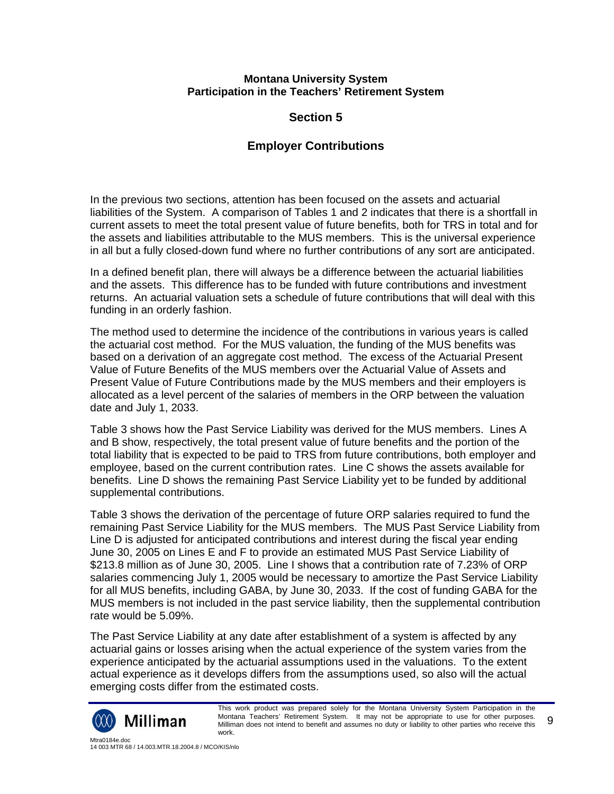# **Section 5**

# **Employer Contributions**

In the previous two sections, attention has been focused on the assets and actuarial liabilities of the System. A comparison of Tables 1 and 2 indicates that there is a shortfall in current assets to meet the total present value of future benefits, both for TRS in total and for the assets and liabilities attributable to the MUS members. This is the universal experience in all but a fully closed-down fund where no further contributions of any sort are anticipated.

In a defined benefit plan, there will always be a difference between the actuarial liabilities and the assets. This difference has to be funded with future contributions and investment returns. An actuarial valuation sets a schedule of future contributions that will deal with this funding in an orderly fashion.

The method used to determine the incidence of the contributions in various years is called the actuarial cost method. For the MUS valuation, the funding of the MUS benefits was based on a derivation of an aggregate cost method. The excess of the Actuarial Present Value of Future Benefits of the MUS members over the Actuarial Value of Assets and Present Value of Future Contributions made by the MUS members and their employers is allocated as a level percent of the salaries of members in the ORP between the valuation date and July 1, 2033.

Table 3 shows how the Past Service Liability was derived for the MUS members. Lines A and B show, respectively, the total present value of future benefits and the portion of the total liability that is expected to be paid to TRS from future contributions, both employer and employee, based on the current contribution rates. Line C shows the assets available for benefits. Line D shows the remaining Past Service Liability yet to be funded by additional supplemental contributions.

Table 3 shows the derivation of the percentage of future ORP salaries required to fund the remaining Past Service Liability for the MUS members. The MUS Past Service Liability from Line D is adjusted for anticipated contributions and interest during the fiscal year ending June 30, 2005 on Lines E and F to provide an estimated MUS Past Service Liability of \$213.8 million as of June 30, 2005. Line I shows that a contribution rate of 7.23% of ORP salaries commencing July 1, 2005 would be necessary to amortize the Past Service Liability for all MUS benefits, including GABA, by June 30, 2033. If the cost of funding GABA for the MUS members is not included in the past service liability, then the supplemental contribution rate would be 5.09%.

The Past Service Liability at any date after establishment of a system is affected by any actuarial gains or losses arising when the actual experience of the system varies from the experience anticipated by the actuarial assumptions used in the valuations. To the extent actual experience as it develops differs from the assumptions used, so also will the actual emerging costs differ from the estimated costs.



This work product was prepared solely for the Montana University System Participation in the Montana Teachers' Retirement System. It may not be appropriate to use for other purposes. Milliman does not intend to benefit and assumes no duty or liability to other parties who receive this work. 9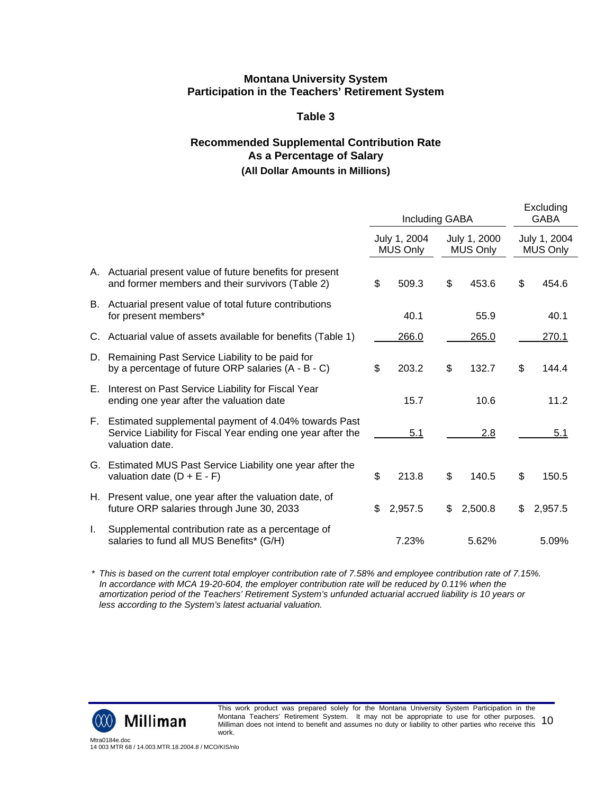## **Table 3**

# **Recommended Supplemental Contribution Rate As a Percentage of Salary (All Dollar Amounts in Millions)**

|              |                                                                                                                                        | Including GABA                  |                                 | Excluding<br><b>GABA</b>        |
|--------------|----------------------------------------------------------------------------------------------------------------------------------------|---------------------------------|---------------------------------|---------------------------------|
|              |                                                                                                                                        | July 1, 2004<br><b>MUS Only</b> | July 1, 2000<br><b>MUS Only</b> | July 1, 2004<br><b>MUS Only</b> |
|              | A. Actuarial present value of future benefits for present<br>and former members and their survivors (Table 2)                          | \$<br>509.3                     | \$<br>453.6                     | \$<br>454.6                     |
|              | B. Actuarial present value of total future contributions<br>for present members*                                                       | 40.1                            | 55.9                            | 40.1                            |
|              | C. Actuarial value of assets available for benefits (Table 1)                                                                          | 266.0                           | 265.0                           | 270.1                           |
|              | D. Remaining Past Service Liability to be paid for<br>by a percentage of future ORP salaries (A - B - C)                               | \$<br>203.2                     | \$<br>132.7                     | \$<br>144.4                     |
|              | E. Interest on Past Service Liability for Fiscal Year<br>ending one year after the valuation date                                      | 15.7                            | 10.6                            | 11.2                            |
| E.           | Estimated supplemental payment of 4.04% towards Past<br>Service Liability for Fiscal Year ending one year after the<br>valuation date. | 5.1                             | 2.8                             | 5.1                             |
|              | G. Estimated MUS Past Service Liability one year after the<br>valuation date $(D + E - F)$                                             | \$<br>213.8                     | \$<br>140.5                     | \$<br>150.5                     |
|              | H. Present value, one year after the valuation date, of<br>future ORP salaries through June 30, 2033                                   | \$<br>2,957.5                   | \$<br>2,500.8                   | \$<br>2,957.5                   |
| $\mathbf{L}$ | Supplemental contribution rate as a percentage of<br>salaries to fund all MUS Benefits* (G/H)                                          | 7.23%                           | 5.62%                           | 5.09%                           |

*\* This is based on the current total employer contribution rate of 7.58% and employee contribution rate of 7.15%. In accordance with MCA 19-20-604, the employer contribution rate will be reduced by 0.11% when the amortization period of the Teachers' Retirement System's unfunded actuarial accrued liability is 10 years or less according to the System's latest actuarial valuation.*



This work product was prepared solely for the Montana University System Participation in the Montana Teachers' Retirement System. It may not be appropriate to use for other purposes. montana Teacners' Retirement System. To may not be appropriate to use for other purposes.  $10$ <br>Milliman does not intend to benefit and assumes no duty or liability to other parties who receive this  $10$ work.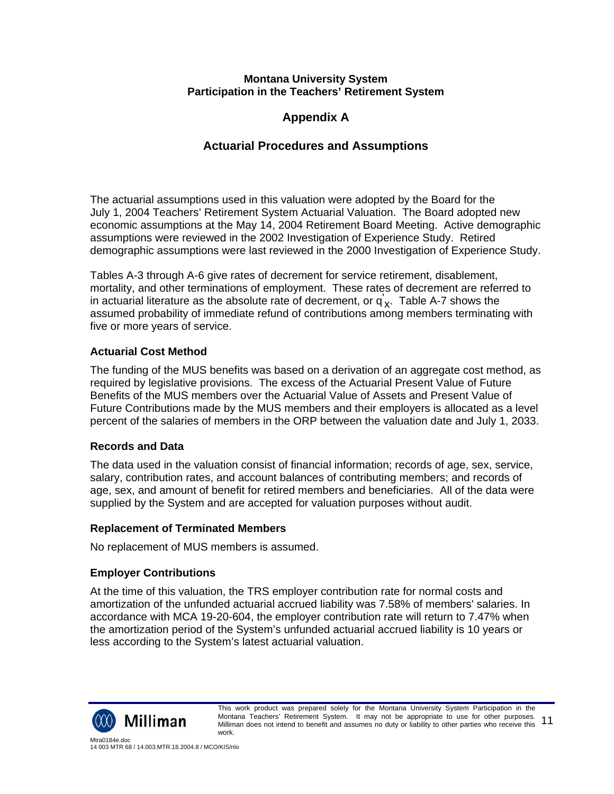# **Appendix A**

# **Actuarial Procedures and Assumptions**

The actuarial assumptions used in this valuation were adopted by the Board for the July 1, 2004 Teachers' Retirement System Actuarial Valuation. The Board adopted new economic assumptions at the May 14, 2004 Retirement Board Meeting. Active demographic assumptions were reviewed in the 2002 Investigation of Experience Study. Retired demographic assumptions were last reviewed in the 2000 Investigation of Experience Study.

Tables A-3 through A-6 give rates of decrement for service retirement, disablement, mortality, and other terminations of employment. These rates of decrement are referred to in actuarial literature as the absolute rate of decrement, or  $\mathsf{q}'_{\mathsf{X}}$ . Table A-7 shows the assumed probability of immediate refund of contributions among members terminating with five or more years of service.

# **Actuarial Cost Method**

The funding of the MUS benefits was based on a derivation of an aggregate cost method, as required by legislative provisions. The excess of the Actuarial Present Value of Future Benefits of the MUS members over the Actuarial Value of Assets and Present Value of Future Contributions made by the MUS members and their employers is allocated as a level percent of the salaries of members in the ORP between the valuation date and July 1, 2033.

# **Records and Data**

The data used in the valuation consist of financial information; records of age, sex, service, salary, contribution rates, and account balances of contributing members; and records of age, sex, and amount of benefit for retired members and beneficiaries. All of the data were supplied by the System and are accepted for valuation purposes without audit.

# **Replacement of Terminated Members**

No replacement of MUS members is assumed.

# **Employer Contributions**

At the time of this valuation, the TRS employer contribution rate for normal costs and amortization of the unfunded actuarial accrued liability was 7.58% of members' salaries. In accordance with MCA 19-20-604, the employer contribution rate will return to 7.47% when the amortization period of the System's unfunded actuarial accrued liability is 10 years or less according to the System's latest actuarial valuation.

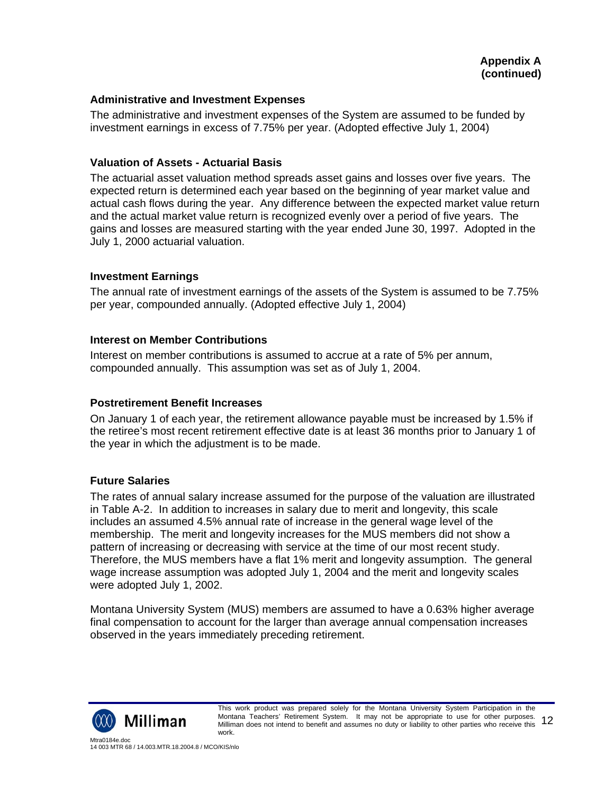#### **Administrative and Investment Expenses**

The administrative and investment expenses of the System are assumed to be funded by investment earnings in excess of 7.75% per year. (Adopted effective July 1, 2004)

#### **Valuation of Assets - Actuarial Basis**

The actuarial asset valuation method spreads asset gains and losses over five years. The expected return is determined each year based on the beginning of year market value and actual cash flows during the year. Any difference between the expected market value return and the actual market value return is recognized evenly over a period of five years. The gains and losses are measured starting with the year ended June 30, 1997. Adopted in the July 1, 2000 actuarial valuation.

#### **Investment Earnings**

The annual rate of investment earnings of the assets of the System is assumed to be 7.75% per year, compounded annually. (Adopted effective July 1, 2004)

#### **Interest on Member Contributions**

Interest on member contributions is assumed to accrue at a rate of 5% per annum, compounded annually. This assumption was set as of July 1, 2004.

#### **Postretirement Benefit Increases**

On January 1 of each year, the retirement allowance payable must be increased by 1.5% if the retiree's most recent retirement effective date is at least 36 months prior to January 1 of the year in which the adjustment is to be made.

#### **Future Salaries**

The rates of annual salary increase assumed for the purpose of the valuation are illustrated in Table A-2. In addition to increases in salary due to merit and longevity, this scale includes an assumed 4.5% annual rate of increase in the general wage level of the membership. The merit and longevity increases for the MUS members did not show a pattern of increasing or decreasing with service at the time of our most recent study. Therefore, the MUS members have a flat 1% merit and longevity assumption. The general wage increase assumption was adopted July 1, 2004 and the merit and longevity scales were adopted July 1, 2002.

Montana University System (MUS) members are assumed to have a 0.63% higher average final compensation to account for the larger than average annual compensation increases observed in the years immediately preceding retirement.

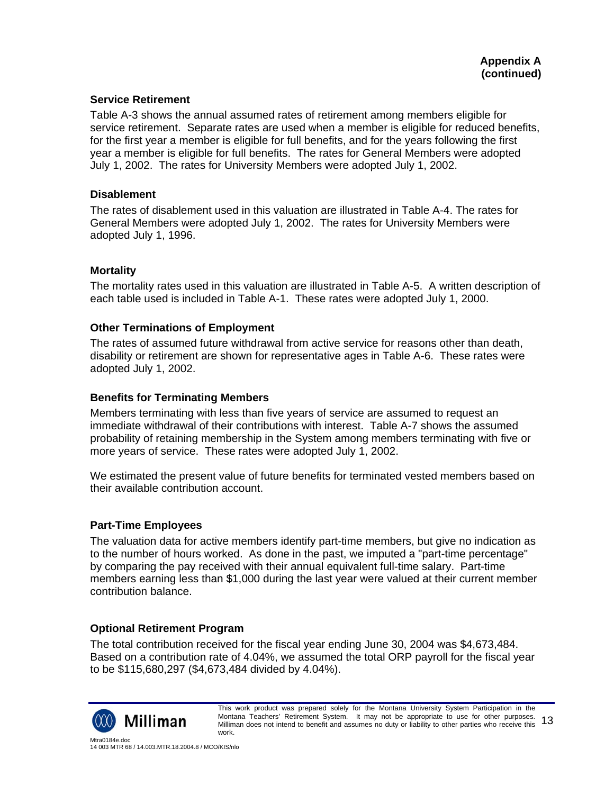#### **Service Retirement**

Table A-3 shows the annual assumed rates of retirement among members eligible for service retirement. Separate rates are used when a member is eligible for reduced benefits, for the first year a member is eligible for full benefits, and for the years following the first year a member is eligible for full benefits. The rates for General Members were adopted July 1, 2002. The rates for University Members were adopted July 1, 2002.

#### **Disablement**

The rates of disablement used in this valuation are illustrated in Table A-4. The rates for General Members were adopted July 1, 2002. The rates for University Members were adopted July 1, 1996.

#### **Mortality**

The mortality rates used in this valuation are illustrated in Table A-5. A written description of each table used is included in Table A-1. These rates were adopted July 1, 2000.

#### **Other Terminations of Employment**

The rates of assumed future withdrawal from active service for reasons other than death, disability or retirement are shown for representative ages in Table A-6. These rates were adopted July 1, 2002.

#### **Benefits for Terminating Members**

Members terminating with less than five years of service are assumed to request an immediate withdrawal of their contributions with interest. Table A-7 shows the assumed probability of retaining membership in the System among members terminating with five or more years of service. These rates were adopted July 1, 2002.

We estimated the present value of future benefits for terminated vested members based on their available contribution account.

### **Part-Time Employees**

The valuation data for active members identify part-time members, but give no indication as to the number of hours worked. As done in the past, we imputed a "part-time percentage" by comparing the pay received with their annual equivalent full-time salary. Part-time members earning less than \$1,000 during the last year were valued at their current member contribution balance.

### **Optional Retirement Program**

The total contribution received for the fiscal year ending June 30, 2004 was \$4,673,484. Based on a contribution rate of 4.04%, we assumed the total ORP payroll for the fiscal year to be \$115,680,297 (\$4,673,484 divided by 4.04%).

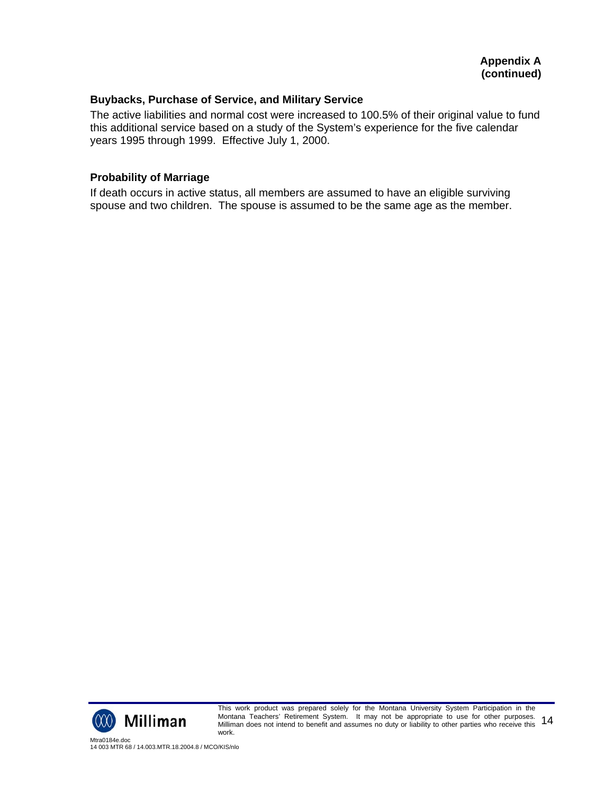#### **Buybacks, Purchase of Service, and Military Service**

The active liabilities and normal cost were increased to 100.5% of their original value to fund this additional service based on a study of the System's experience for the five calendar years 1995 through 1999. Effective July 1, 2000.

#### **Probability of Marriage**

If death occurs in active status, all members are assumed to have an eligible surviving spouse and two children. The spouse is assumed to be the same age as the member.



This work product was prepared solely for the Montana University System Participation in the Montana Teachers' Retirement System. It may not be appropriate to use for other purposes. Montana Teacners' Retirement System. To may not be appropriate to use for other purposes. 14<br>Milliman does not intend to benefit and assumes no duty or liability to other parties who receive this 14 work.

Mtra0184e.doc 14 003 MTR 68 / 14.003.MTR.18.2004.8 / MCO/KIS/nlo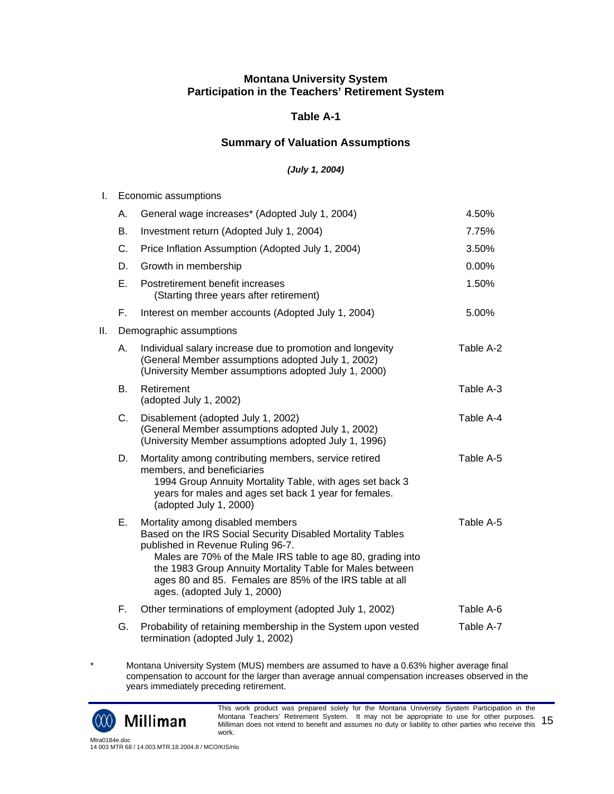### **Table A-1**

### **Summary of Valuation Assumptions**

#### *(July 1, 2004)*

| L.  |           | Economic assumptions                                                                                                                                                                                                                                                                                                                                      |           |
|-----|-----------|-----------------------------------------------------------------------------------------------------------------------------------------------------------------------------------------------------------------------------------------------------------------------------------------------------------------------------------------------------------|-----------|
|     | А.        | General wage increases* (Adopted July 1, 2004)                                                                                                                                                                                                                                                                                                            | 4.50%     |
|     | <b>B.</b> | Investment return (Adopted July 1, 2004)                                                                                                                                                                                                                                                                                                                  | 7.75%     |
|     | C.        | Price Inflation Assumption (Adopted July 1, 2004)                                                                                                                                                                                                                                                                                                         | 3.50%     |
|     | D.        | Growth in membership                                                                                                                                                                                                                                                                                                                                      | 0.00%     |
|     | Е.        | Postretirement benefit increases<br>(Starting three years after retirement)                                                                                                                                                                                                                                                                               | 1.50%     |
|     | F.,       | Interest on member accounts (Adopted July 1, 2004)                                                                                                                                                                                                                                                                                                        | 5.00%     |
| ΙΙ. |           | Demographic assumptions                                                                                                                                                                                                                                                                                                                                   |           |
|     | А.        | Individual salary increase due to promotion and longevity<br>(General Member assumptions adopted July 1, 2002)<br>(University Member assumptions adopted July 1, 2000)                                                                                                                                                                                    | Table A-2 |
|     | <b>B.</b> | Retirement<br>(adopted July 1, 2002)                                                                                                                                                                                                                                                                                                                      | Table A-3 |
|     | C.        | Disablement (adopted July 1, 2002)<br>(General Member assumptions adopted July 1, 2002)<br>(University Member assumptions adopted July 1, 1996)                                                                                                                                                                                                           | Table A-4 |
|     | D.        | Mortality among contributing members, service retired<br>members, and beneficiaries<br>1994 Group Annuity Mortality Table, with ages set back 3<br>years for males and ages set back 1 year for females.<br>(adopted July 1, 2000)                                                                                                                        | Table A-5 |
|     | Ε.        | Mortality among disabled members<br>Based on the IRS Social Security Disabled Mortality Tables<br>published in Revenue Ruling 96-7.<br>Males are 70% of the Male IRS table to age 80, grading into<br>the 1983 Group Annuity Mortality Table for Males between<br>ages 80 and 85. Females are 85% of the IRS table at all<br>ages. (adopted July 1, 2000) | Table A-5 |
|     | F.        | Other terminations of employment (adopted July 1, 2002)                                                                                                                                                                                                                                                                                                   | Table A-6 |
|     | G.        | Probability of retaining membership in the System upon vested<br>termination (adopted July 1, 2002)                                                                                                                                                                                                                                                       | Table A-7 |

\* Montana University System (MUS) members are assumed to have a 0.63% higher average final compensation to account for the larger than average annual compensation increases observed in the years immediately preceding retirement.



This work product was prepared solely for the Montana University System Participation in the Montana Teachers' Retirement System. It may not be appropriate to use for other purposes. montana Teacners' Retirement System. To may not be appropriate to use for other purposes.  $15$ <br>Milliman does not intend to benefit and assumes no duty or liability to other parties who receive this  $15$ work.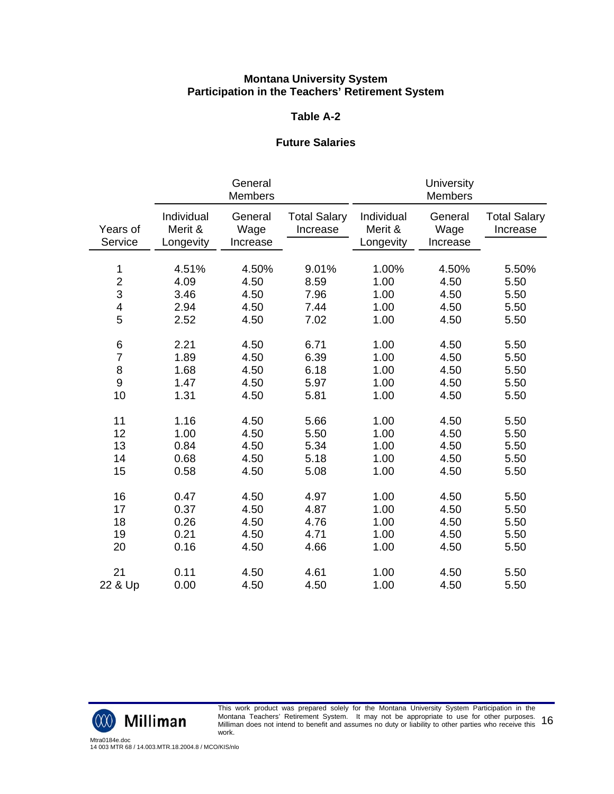#### **Table A-2**

#### **Future Salaries**

|                         |                                    | General<br><b>Members</b>   |                                 |                                    | University<br><b>Members</b> |                                 |
|-------------------------|------------------------------------|-----------------------------|---------------------------------|------------------------------------|------------------------------|---------------------------------|
| Years of<br>Service     | Individual<br>Merit &<br>Longevity | General<br>Wage<br>Increase | <b>Total Salary</b><br>Increase | Individual<br>Merit &<br>Longevity | General<br>Wage<br>Increase  | <b>Total Salary</b><br>Increase |
|                         |                                    |                             |                                 |                                    |                              |                                 |
| 1                       | 4.51%                              | 4.50%                       | 9.01%                           | 1.00%                              | 4.50%                        | 5.50%                           |
| $\overline{c}$          | 4.09                               | 4.50                        | 8.59                            | 1.00                               | 4.50                         | 5.50                            |
| 3                       | 3.46                               | 4.50                        | 7.96                            | 1.00                               | 4.50                         | 5.50                            |
| $\overline{\mathbf{4}}$ | 2.94                               | 4.50                        | 7.44                            | 1.00                               | 4.50                         | 5.50                            |
| 5                       | 2.52                               | 4.50                        | 7.02                            | 1.00                               | 4.50                         | 5.50                            |
| 6                       | 2.21                               | 4.50                        | 6.71                            | 1.00                               | 4.50                         | 5.50                            |
| $\overline{7}$          | 1.89                               | 4.50                        | 6.39                            | 1.00                               | 4.50                         | 5.50                            |
| 8                       | 1.68                               | 4.50                        | 6.18                            | 1.00                               | 4.50                         | 5.50                            |
| 9                       | 1.47                               | 4.50                        | 5.97                            | 1.00                               | 4.50                         | 5.50                            |
| 10                      | 1.31                               | 4.50                        | 5.81                            | 1.00                               | 4.50                         | 5.50                            |
| 11                      | 1.16                               | 4.50                        | 5.66                            | 1.00                               | 4.50                         | 5.50                            |
| 12                      | 1.00                               | 4.50                        | 5.50                            | 1.00                               | 4.50                         | 5.50                            |
| 13                      | 0.84                               | 4.50                        | 5.34                            | 1.00                               | 4.50                         | 5.50                            |
| 14                      | 0.68                               | 4.50                        | 5.18                            | 1.00                               | 4.50                         | 5.50                            |
| 15                      | 0.58                               | 4.50                        | 5.08                            | 1.00                               | 4.50                         | 5.50                            |
| 16                      | 0.47                               | 4.50                        | 4.97                            | 1.00                               | 4.50                         | 5.50                            |
| 17                      | 0.37                               | 4.50                        | 4.87                            | 1.00                               | 4.50                         | 5.50                            |
| 18                      | 0.26                               | 4.50                        | 4.76                            | 1.00                               | 4.50                         | 5.50                            |
| 19                      | 0.21                               | 4.50                        | 4.71                            | 1.00                               | 4.50                         | 5.50                            |
| 20                      | 0.16                               | 4.50                        | 4.66                            | 1.00                               | 4.50                         | 5.50                            |
| 21                      | 0.11                               | 4.50                        | 4.61                            | 1.00                               | 4.50                         | 5.50                            |
| 22 & Up                 | 0.00                               | 4.50                        | 4.50                            | 1.00                               | 4.50                         | 5.50                            |



This work product was prepared solely for the Montana University System Participation in the Montana Teachers' Retirement System. It may not be appropriate to use for other purposes. montana Teacners' Retirement System. To may not be appropriate to use for other purposes.  $16$ work.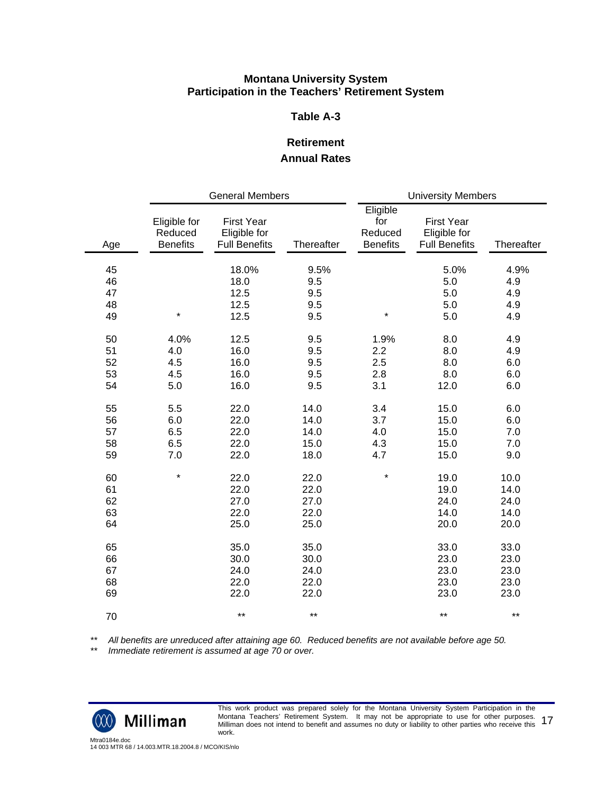#### **Table A-3**

## **Retirement Annual Rates**

|     | <b>General Members</b>                     |                                                           |            | <b>University Members</b>                     |                                                           |            |  |
|-----|--------------------------------------------|-----------------------------------------------------------|------------|-----------------------------------------------|-----------------------------------------------------------|------------|--|
| Age | Eligible for<br>Reduced<br><b>Benefits</b> | <b>First Year</b><br>Eligible for<br><b>Full Benefits</b> | Thereafter | Eligible<br>for<br>Reduced<br><b>Benefits</b> | <b>First Year</b><br>Eligible for<br><b>Full Benefits</b> | Thereafter |  |
| 45  |                                            | 18.0%                                                     | 9.5%       |                                               | 5.0%                                                      | 4.9%       |  |
| 46  |                                            | 18.0                                                      | 9.5        |                                               | 5.0                                                       | 4.9        |  |
| 47  |                                            | 12.5                                                      | 9.5        |                                               | 5.0                                                       | 4.9        |  |
| 48  |                                            | 12.5                                                      | 9.5        |                                               | 5.0                                                       | 4.9        |  |
| 49  | $\star$                                    | 12.5                                                      | 9.5        | $\star$                                       | 5.0                                                       | 4.9        |  |
| 50  | 4.0%                                       | 12.5                                                      | 9.5        | 1.9%                                          | 8.0                                                       | 4.9        |  |
| 51  | 4.0                                        | 16.0                                                      | 9.5        | 2.2                                           | 8.0                                                       | 4.9        |  |
| 52  | 4.5                                        | 16.0                                                      | 9.5        | 2.5                                           | 8.0                                                       | 6.0        |  |
| 53  | 4.5                                        | 16.0                                                      | 9.5        | 2.8                                           | 8.0                                                       | 6.0        |  |
| 54  | 5.0                                        | 16.0                                                      | 9.5        | 3.1                                           | 12.0                                                      | 6.0        |  |
| 55  | 5.5                                        | 22.0                                                      | 14.0       | 3.4                                           | 15.0                                                      | 6.0        |  |
| 56  | 6.0                                        | 22.0                                                      | 14.0       | 3.7                                           | 15.0                                                      | 6.0        |  |
| 57  | 6.5                                        | 22.0                                                      | 14.0       | 4.0                                           | 15.0                                                      | 7.0        |  |
| 58  | 6.5                                        | 22.0                                                      | 15.0       | 4.3                                           | 15.0                                                      | 7.0        |  |
| 59  | 7.0                                        | 22.0                                                      | 18.0       | 4.7                                           | 15.0                                                      | 9.0        |  |
| 60  | $\star$                                    | 22.0                                                      | 22.0       | $\star$                                       | 19.0                                                      | 10.0       |  |
| 61  |                                            | 22.0                                                      | 22.0       |                                               | 19.0                                                      | 14.0       |  |
| 62  |                                            | 27.0                                                      | 27.0       |                                               | 24.0                                                      | 24.0       |  |
| 63  |                                            | 22.0                                                      | 22.0       |                                               | 14.0                                                      | 14.0       |  |
| 64  |                                            | 25.0                                                      | 25.0       |                                               | 20.0                                                      | 20.0       |  |
| 65  |                                            | 35.0                                                      | 35.0       |                                               | 33.0                                                      | 33.0       |  |
| 66  |                                            | 30.0                                                      | 30.0       |                                               | 23.0                                                      | 23.0       |  |
| 67  |                                            | 24.0                                                      | 24.0       |                                               | 23.0                                                      | 23.0       |  |
| 68  |                                            | 22.0                                                      | 22.0       |                                               | 23.0                                                      | 23.0       |  |
| 69  |                                            | 22.0                                                      | 22.0       |                                               | 23.0                                                      | 23.0       |  |
| 70  |                                            | $***$                                                     | $***$      |                                               | $***$                                                     | $***$      |  |

*\*\* All benefits are unreduced after attaining age 60. Reduced benefits are not available before age 50.*

*\*\* Immediate retirement is assumed at age 70 or over.*



This work product was prepared solely for the Montana University System Participation in the Montana Teachers' Retirement System. It may not be appropriate to use for other purposes. Montana Teacners' Retirement System. To may not be appropriate to use for other purposes. 17<br>Milliman does not intend to benefit and assumes no duty or liability to other parties who receive this 17 work.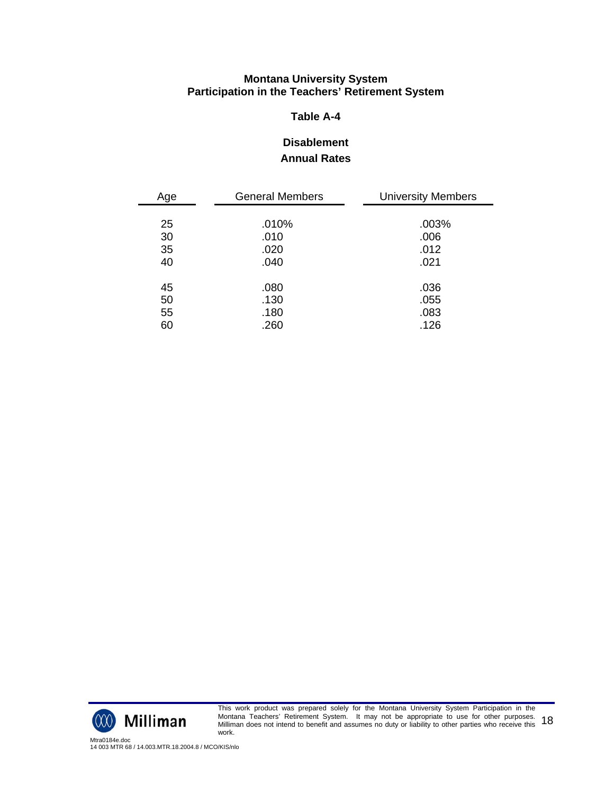## **Table A-4**

# **Disablement Annual Rates**

| Age | <b>General Members</b> | <b>University Members</b> |
|-----|------------------------|---------------------------|
|     |                        |                           |
| 25  | .010%                  | .003%                     |
| 30  | .010                   | .006                      |
| 35  | .020                   | .012                      |
| 40  | .040                   | .021                      |
|     |                        |                           |
| 45  | .080                   | .036                      |
| 50  | .130                   | .055                      |
| 55  | .180                   | .083                      |
| 60  | .260                   | .126                      |



This work product was prepared solely for the Montana University System Participation in the Montana Teachers' Retirement System. It may not be appropriate to use for other purposes. Montana Teacners' Retirement System. To may not be appropriate to use for other purposes. 18<br>Milliman does not intend to benefit and assumes no duty or liability to other parties who receive this 18 work.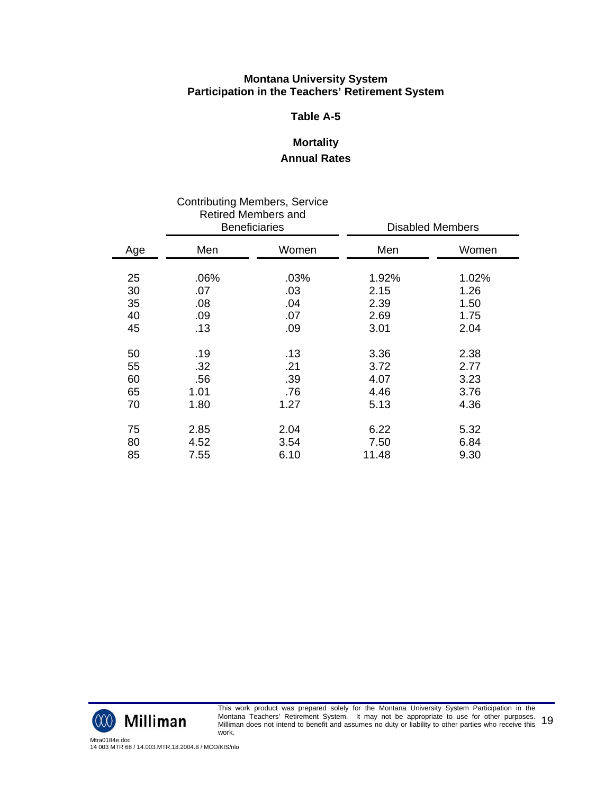#### **Table A-5**

# **Mortality Annual Rates**

| <b>Contributing Members, Service</b><br><b>Retired Members and</b><br><b>Beneficiaries</b> |            |            |              | <b>Disabled Members</b> |
|--------------------------------------------------------------------------------------------|------------|------------|--------------|-------------------------|
| Age                                                                                        | Men        | Women      | Men          | Women                   |
| 25                                                                                         | .06%       | .03%       | 1.92%        | 1.02%                   |
| 30<br>35                                                                                   | .07<br>.08 | .03<br>.04 | 2.15<br>2.39 | 1.26<br>1.50            |
| 40                                                                                         | .09        | .07        | 2.69         | 1.75                    |
| 45                                                                                         | .13        | .09        | 3.01         | 2.04                    |
| 50                                                                                         | .19        | .13        | 3.36         | 2.38                    |
| 55                                                                                         | .32        | .21        | 3.72         | 2.77                    |
| 60                                                                                         | .56        | .39        | 4.07         | 3.23                    |
| 65                                                                                         | 1.01       | .76        | 4.46         | 3.76                    |
| 70                                                                                         | 1.80       | 1.27       | 5.13         | 4.36                    |
| 75                                                                                         | 2.85       | 2.04       | 6.22         | 5.32                    |
| 80                                                                                         | 4.52       | 3.54       | 7.50         | 6.84                    |
| 85                                                                                         | 7.55       | 6.10       | 11.48        | 9.30                    |



This work product was prepared solely for the Montana University System Participation in the Montana Teachers' Retirement System. It may not be appropriate to use for other purposes. Montana Teacners' Retirement System. To may not be appropriate to use for other purposes. 19<br>Milliman does not intend to benefit and assumes no duty or liability to other parties who receive this 19 work.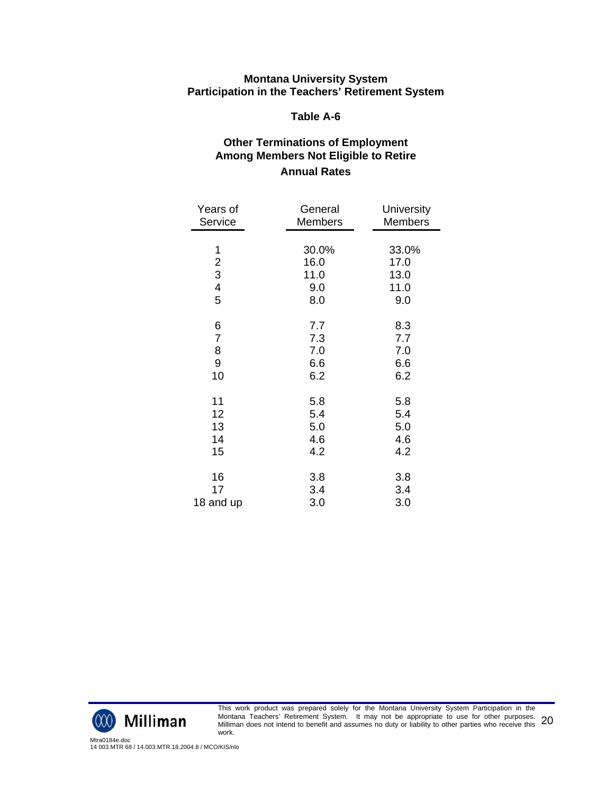#### **Table A-6**

# **Other Terminations of Employment Among Members Not Eligible to Retire Annual Rates**

| Years of                | General        | University     |
|-------------------------|----------------|----------------|
| Service                 | <b>Members</b> | <b>Members</b> |
| 1                       | 30.0%          | 33.0%          |
| $\boldsymbol{2}$        | 16.0           | 17.0           |
| 3                       | 11.0           | 13.0           |
| $\overline{\mathbf{4}}$ | 9.0            | 11.0           |
| 5                       | 8.0            | 9.0            |
| 6                       | 7.7            | 8.3            |
| $\overline{7}$          | 7.3            | 7.7            |
| 8                       | 7.0            | 7.0            |
| 9                       | 6.6            | 6.6            |
| 10                      | 6.2            | 6.2            |
| 11                      | 5.8            | 5.8            |
| 12                      | 5.4            | 5.4            |
| 13                      | 5.0            | 5.0            |
| 14                      | 4.6            | 4.6            |
| 15                      | 4.2            | 4.2            |
| 16                      | 3.8            | 3.8            |
| 17                      | 3.4            | 3.4            |
| 18 and up               | 3.0            | 3.0            |



This work product was prepared solely for the Montana University System Participation in the Montana Teachers' Retirement System. It may not be appropriate to use for other purposes. Montana Teacners' Retirement System. To may not be appropriate to use for other purposes.<br>Milliman does not intend to benefit and assumes no duty or liability to other parties who receive this 20 work.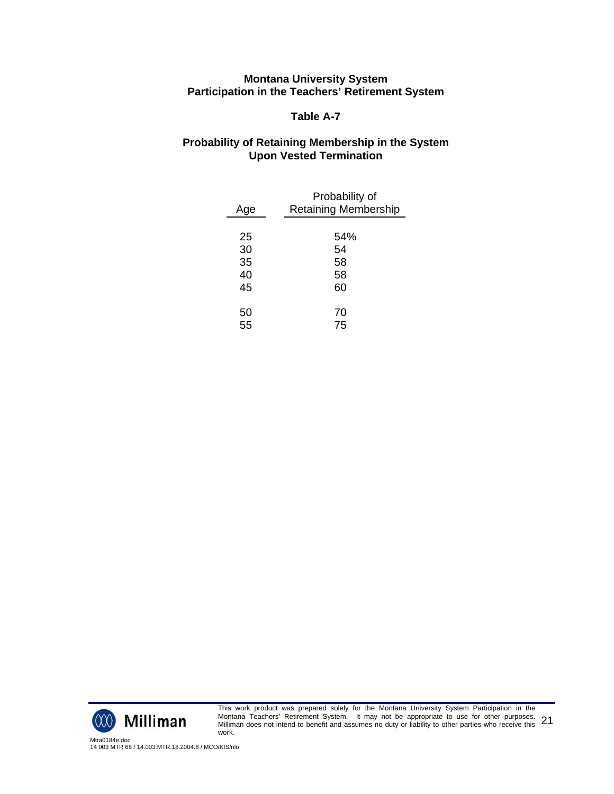#### **Table A-7**

#### **Probability of Retaining Membership in the System Upon Vested Termination**

| Age | Probability of<br><b>Retaining Membership</b> |
|-----|-----------------------------------------------|
|     |                                               |
| 25  | 54%                                           |
| 30  | 54                                            |
| 35  | 58                                            |
| 40  | 58                                            |
| 45  | 60                                            |
|     |                                               |
| 50  | 70                                            |
| 55  | 75                                            |
|     |                                               |



This work product was prepared solely for the Montana University System Participation in the Montana Teachers' Retirement System. It may not be appropriate to use for other purposes. Montana Teacners' Retirement System. To may not be appropriate to use for other purposes. 21<br>Milliman does not intend to benefit and assumes no duty or liability to other parties who receive this 21 work.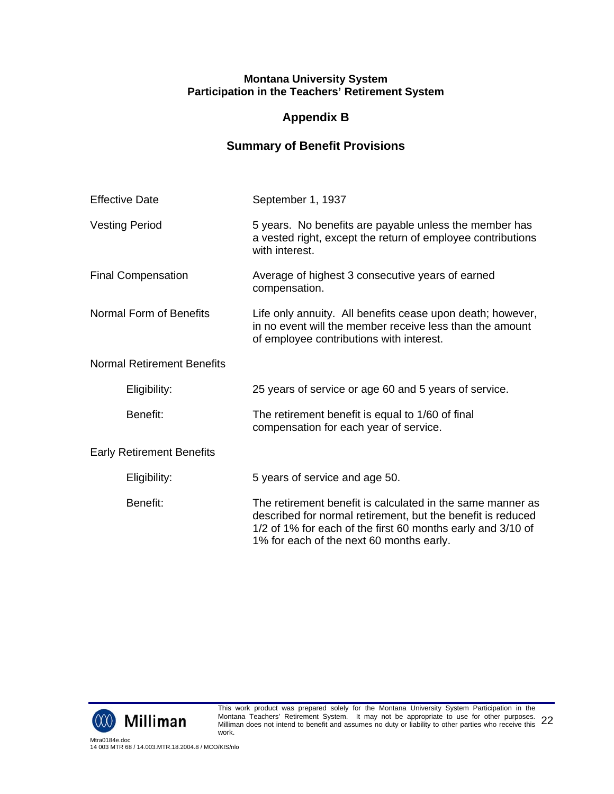# **Appendix B**

# **Summary of Benefit Provisions**

| <b>Effective Date</b>             | September 1, 1937                                                                                                                                                                                                                    |
|-----------------------------------|--------------------------------------------------------------------------------------------------------------------------------------------------------------------------------------------------------------------------------------|
| <b>Vesting Period</b>             | 5 years. No benefits are payable unless the member has<br>a vested right, except the return of employee contributions<br>with interest.                                                                                              |
| <b>Final Compensation</b>         | Average of highest 3 consecutive years of earned<br>compensation.                                                                                                                                                                    |
| Normal Form of Benefits           | Life only annuity. All benefits cease upon death; however,<br>in no event will the member receive less than the amount<br>of employee contributions with interest.                                                                   |
| <b>Normal Retirement Benefits</b> |                                                                                                                                                                                                                                      |
| Eligibility:                      | 25 years of service or age 60 and 5 years of service.                                                                                                                                                                                |
| Benefit:                          | The retirement benefit is equal to 1/60 of final<br>compensation for each year of service.                                                                                                                                           |
| <b>Early Retirement Benefits</b>  |                                                                                                                                                                                                                                      |
| Eligibility:                      | 5 years of service and age 50.                                                                                                                                                                                                       |
| Benefit:                          | The retirement benefit is calculated in the same manner as<br>described for normal retirement, but the benefit is reduced<br>1/2 of 1% for each of the first 60 months early and 3/10 of<br>1% for each of the next 60 months early. |

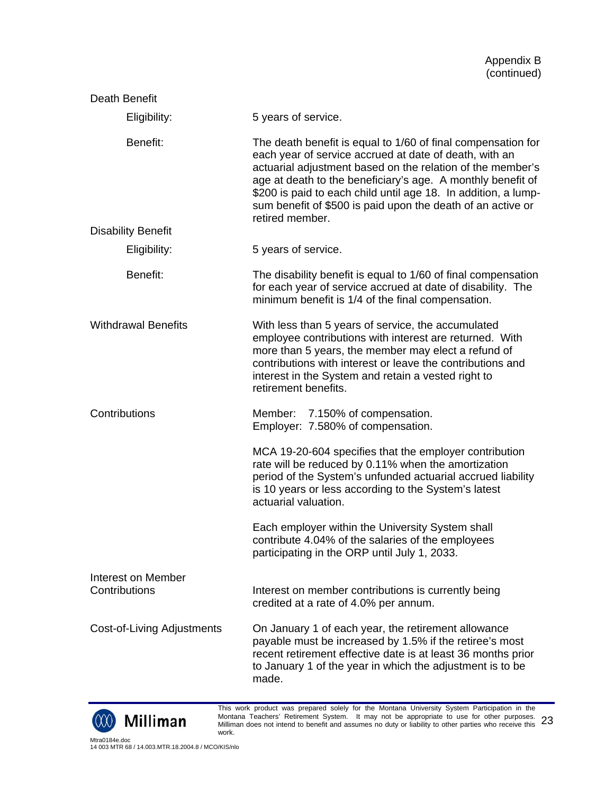| Death Benefit                       |                                                                                                                                                                                                                                                                                                                                                                                                         |
|-------------------------------------|---------------------------------------------------------------------------------------------------------------------------------------------------------------------------------------------------------------------------------------------------------------------------------------------------------------------------------------------------------------------------------------------------------|
| Eligibility:                        | 5 years of service.                                                                                                                                                                                                                                                                                                                                                                                     |
| Benefit:                            | The death benefit is equal to 1/60 of final compensation for<br>each year of service accrued at date of death, with an<br>actuarial adjustment based on the relation of the member's<br>age at death to the beneficiary's age. A monthly benefit of<br>\$200 is paid to each child until age 18. In addition, a lump-<br>sum benefit of \$500 is paid upon the death of an active or<br>retired member. |
| <b>Disability Benefit</b>           |                                                                                                                                                                                                                                                                                                                                                                                                         |
| Eligibility:                        | 5 years of service.                                                                                                                                                                                                                                                                                                                                                                                     |
| Benefit:                            | The disability benefit is equal to 1/60 of final compensation<br>for each year of service accrued at date of disability. The<br>minimum benefit is 1/4 of the final compensation.                                                                                                                                                                                                                       |
| <b>Withdrawal Benefits</b>          | With less than 5 years of service, the accumulated<br>employee contributions with interest are returned. With<br>more than 5 years, the member may elect a refund of<br>contributions with interest or leave the contributions and<br>interest in the System and retain a vested right to<br>retirement benefits.                                                                                       |
| Contributions                       | Member: 7.150% of compensation.<br>Employer: 7.580% of compensation.                                                                                                                                                                                                                                                                                                                                    |
|                                     | MCA 19-20-604 specifies that the employer contribution<br>rate will be reduced by 0.11% when the amortization<br>period of the System's unfunded actuarial accrued liability<br>is 10 years or less according to the System's latest<br>actuarial valuation.                                                                                                                                            |
|                                     | Each employer within the University System shall<br>contribute 4.04% of the salaries of the employees<br>participating in the ORP until July 1, 2033.                                                                                                                                                                                                                                                   |
| Interest on Member<br>Contributions | Interest on member contributions is currently being<br>credited at a rate of 4.0% per annum.                                                                                                                                                                                                                                                                                                            |
| Cost-of-Living Adjustments          | On January 1 of each year, the retirement allowance<br>payable must be increased by 1.5% if the retiree's most<br>recent retirement effective date is at least 36 months prior<br>to January 1 of the year in which the adjustment is to be<br>made.                                                                                                                                                    |



This work product was prepared solely for the Montana University System Participation in the Montana Teachers' Retirement System. It may not be appropriate to use for other purposes. Montana Teacners' Retirement System. To may not be appropriate to use for other purposes. 23<br>Milliman does not intend to benefit and assumes no duty or liability to other parties who receive this 23 work.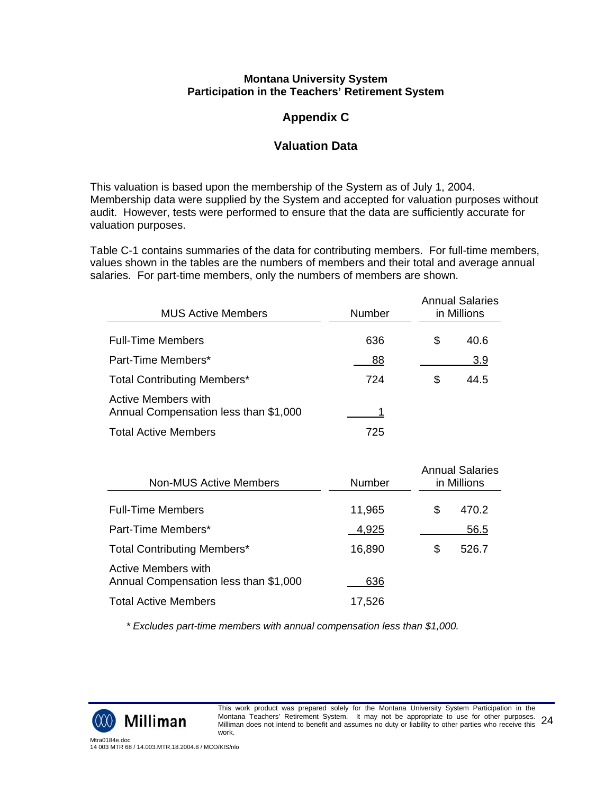# **Appendix C**

# **Valuation Data**

This valuation is based upon the membership of the System as of July 1, 2004. Membership data were supplied by the System and accepted for valuation purposes without audit. However, tests were performed to ensure that the data are sufficiently accurate for valuation purposes.

Table C-1 contains summaries of the data for contributing members. For full-time members, values shown in the tables are the numbers of members and their total and average annual salaries. For part-time members, only the numbers of members are shown.

| <b>MUS Active Members</b>                                           | Number | <b>Annual Salaries</b><br>in Millions |
|---------------------------------------------------------------------|--------|---------------------------------------|
| <b>Full-Time Members</b>                                            | 636    | \$<br>40.6                            |
| Part-Time Members*                                                  | 88     | 3.9                                   |
| <b>Total Contributing Members*</b>                                  | 724    | \$<br>44.5                            |
| <b>Active Members with</b><br>Annual Compensation less than \$1,000 |        |                                       |
| <b>Total Active Members</b>                                         | 725    |                                       |

| <b>Non-MUS Active Members</b>                                | Number | <b>Annual Salaries</b><br>in Millions |  |  |  |
|--------------------------------------------------------------|--------|---------------------------------------|--|--|--|
| <b>Full-Time Members</b>                                     | 11,965 | \$<br>470.2                           |  |  |  |
| Part-Time Members*                                           | 4,925  | 56.5                                  |  |  |  |
| <b>Total Contributing Members*</b>                           | 16,890 | \$<br>526.7                           |  |  |  |
| Active Members with<br>Annual Compensation less than \$1,000 | 636    |                                       |  |  |  |
| <b>Total Active Members</b>                                  | 17,526 |                                       |  |  |  |

*\* Excludes part-time members with annual compensation less than \$1,000.*

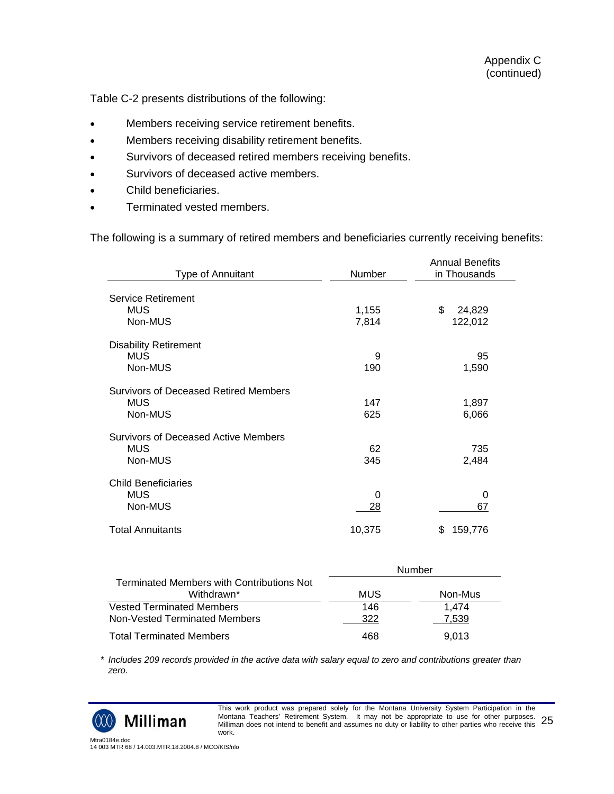Table C-2 presents distributions of the following:

- Members receiving service retirement benefits.
- Members receiving disability retirement benefits.
- Survivors of deceased retired members receiving benefits.
- Survivors of deceased active members.
- Child beneficiaries.
- Terminated vested members.

The following is a summary of retired members and beneficiaries currently receiving benefits:

| Type of Annuitant                     | Number | <b>Annual Benefits</b><br>in Thousands |  |  |
|---------------------------------------|--------|----------------------------------------|--|--|
| Service Retirement                    |        |                                        |  |  |
| <b>MUS</b>                            | 1,155  | \$<br>24,829                           |  |  |
| Non-MUS                               | 7,814  | 122,012                                |  |  |
| <b>Disability Retirement</b>          |        |                                        |  |  |
| <b>MUS</b>                            | 9      | 95                                     |  |  |
| Non-MUS                               | 190    | 1,590                                  |  |  |
| Survivors of Deceased Retired Members |        |                                        |  |  |
| <b>MUS</b>                            | 147    | 1,897                                  |  |  |
| Non-MUS                               | 625    | 6,066                                  |  |  |
| Survivors of Deceased Active Members  |        |                                        |  |  |
| <b>MUS</b>                            | 62     | 735                                    |  |  |
| Non-MUS                               | 345    | 2,484                                  |  |  |
| <b>Child Beneficiaries</b>            |        |                                        |  |  |
| <b>MUS</b>                            | 0      | 0                                      |  |  |
| Non-MUS                               | 28     | 67                                     |  |  |
| <b>Total Annuitants</b>               | 10,375 | 159,776<br>S                           |  |  |

|                                                                |     | Number  |  |
|----------------------------------------------------------------|-----|---------|--|
| <b>Terminated Members with Contributions Not</b><br>Withdrawn* | MUS | Non-Mus |  |
| <b>Vested Terminated Members</b>                               | 146 | 1.474   |  |
| Non-Vested Terminated Members                                  | 322 | 7.539   |  |
| <b>Total Terminated Members</b>                                | 468 | 9.013   |  |

 *\* Includes 209 records provided in the active data with salary equal to zero and contributions greater than zero.*



This work product was prepared solely for the Montana University System Participation in the Montana Teachers' Retirement System. It may not be appropriate to use for other purposes. Montana Teacners' Retirement System. To may not be appropriate to use for other purposes. 25<br>Milliman does not intend to benefit and assumes no duty or liability to other parties who receive this 25 work.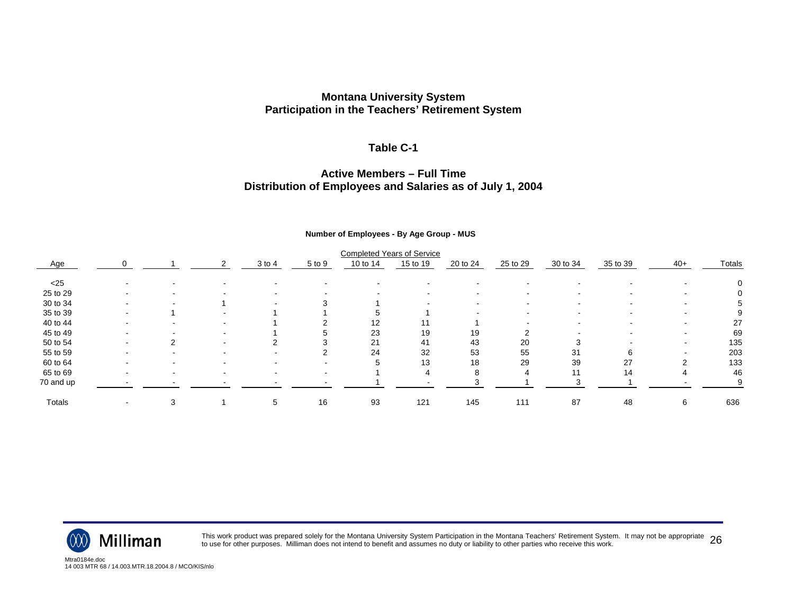#### **Table C-1**

#### **Active Members – Full TimeDistribution of Employees and Salaries as of July 1, 2004**

#### **Number of Employees - By Age Group - MUS**

|           |                          |                          |   |            |        |          | <b>Completed Years of Service</b> |                          |          |          |          |        |          |
|-----------|--------------------------|--------------------------|---|------------|--------|----------|-----------------------------------|--------------------------|----------|----------|----------|--------|----------|
| Age       |                          |                          | 2 | $3$ to $4$ | 5 to 9 | 10 to 14 | 15 to 19                          | 20 to 24                 | 25 to 29 | 30 to 34 | 35 to 39 | $40+$  | Totals   |
| $<$ 25    |                          |                          |   |            |        |          |                                   |                          |          |          |          |        |          |
| 25 to 29  | $\sim$                   | $\overline{\phantom{0}}$ |   |            |        |          | $\sim$                            | $\sim$                   |          |          |          |        | $\left($ |
| 30 to 34  | $\,$                     |                          |   |            |        |          | $\sim$                            | $\overline{\phantom{a}}$ |          |          |          |        | Ð.       |
| 35 to 39  |                          |                          |   |            |        |          |                                   |                          |          |          |          |        | 9        |
| 40 to 44  |                          | $\overline{\phantom{0}}$ |   |            |        | 12       | 11                                |                          |          |          |          |        | 27       |
| 45 to 49  | -                        |                          |   |            |        | 23       | 19                                | 19                       | ົ        |          |          | $\sim$ | 69       |
| 50 to 54  | -                        |                          |   |            |        | 21       | 41                                | 43                       | 20       | З        |          |        | 135      |
| 55 to 59  | $\overline{\phantom{a}}$ |                          |   |            |        | 24       | 32                                | 53                       | 55       | 31       | 6        |        | 203      |
| 60 to 64  |                          |                          |   |            |        |          | 13                                | 18                       | 29       | 39       | 27       |        | 133      |
| 65 to 69  |                          |                          |   |            |        |          |                                   | 8                        | 4        | 11       | 14       |        | 46       |
| 70 and up |                          | $\,$                     |   |            |        |          |                                   |                          |          |          |          |        | 9        |
| Totals    | $\overline{\phantom{a}}$ | 3                        |   | 5          | 16     | 93       | 121                               | 145                      | 111      | 87       | 48       | 6      | 636      |



This work product was prepared solely for the Montana University System Participation in the Montana Teachers' Retirement System. It may not be appropriate  $~26$ 

Mtra0184e.doc14 003 MTR 68 / 14.003.MTR.18.2004.8 / MCO/KIS/nlo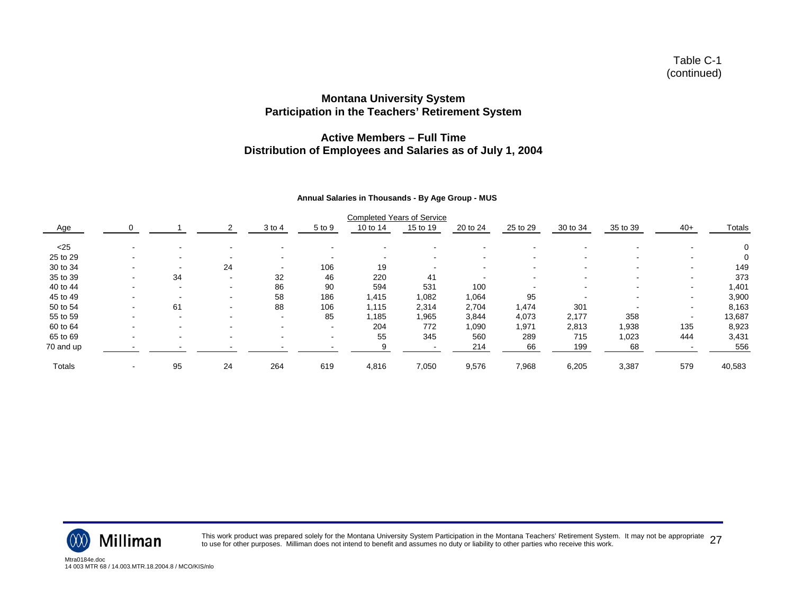#### **Active Members – Full TimeDistribution of Employees and Salaries as of July 1, 2004**

#### **Annual Salaries in Thousands - By Age Group - MUS**

|           |                          |        |    |                          |                | <b>Completed Years of Service</b> |          |                          |                          |          |          |       |               |
|-----------|--------------------------|--------|----|--------------------------|----------------|-----------------------------------|----------|--------------------------|--------------------------|----------|----------|-------|---------------|
| Age       |                          |        |    | 3 to 4                   | 5 to 9         | 10 to 14                          | 15 to 19 | 20 to 24                 | 25 to 29                 | 30 to 34 | 35 to 39 | $40+$ | <b>Totals</b> |
| $25$      |                          |        |    | -                        |                |                                   |          |                          |                          |          |          |       |               |
| 25 to 29  |                          |        |    |                          |                |                                   |          |                          |                          |          |          |       |               |
| 30 to 34  | $\overline{\phantom{a}}$ | . .    | 24 | $\overline{\phantom{a}}$ | 106            | 19                                |          | $\overline{\phantom{0}}$ | $\overline{\phantom{0}}$ |          |          |       | 149           |
| 35 to 39  |                          | 34     |    | 32                       | 46             | 220                               | 41       |                          |                          |          |          |       | 373           |
| 40 to 44  | $\overline{\phantom{a}}$ | . .    |    | 86                       | 90             | 594                               | 531      | 100                      |                          |          |          |       | 1,401         |
| 45 to 49  | . .                      | . .    |    | 58                       | 186            | 1,415                             | 1,082    | 1,064                    | 95                       |          |          |       | 3,900         |
| 50 to 54  |                          | 61     |    | 88                       | 106            | 1.115                             | 2,314    | 2,704                    | 1,474                    | 301      |          |       | 8,163         |
| 55 to 59  |                          | $\sim$ |    | $\sim$                   | 85             | 1,185                             | 1,965    | 3,844                    | 4,073                    | 2,177    | 358      |       | 13,687        |
| 60 to 64  |                          |        |    | ۰.                       | ۰.             | 204                               | 772      | 1,090                    | 1,971                    | 2,813    | 1,938    | 135   | 8,923         |
| 65 to 69  | $\overline{\phantom{a}}$ |        |    | $\,$                     | $\blacksquare$ | 55                                | 345      | 560                      | 289                      | 715      | 1,023    | 444   | 3,431         |
| 70 and up |                          |        |    |                          |                |                                   |          | 214                      | 66                       | 199      | 68       |       | 556           |
| Totals    |                          | 95     | 24 | 264                      | 619            | 4,816                             | 7,050    | 9,576                    | 7,968                    | 6,205    | 3,387    | 579   | 40,583        |



This work product was prepared solely for the Montana University System Participation in the Montana Teachers' Retirement System. It may not be appropriate 27 to use for other purposes. Milliman does not intend to benefit and assumes no duty or liability to other parties who receive this work. <sup>27</sup>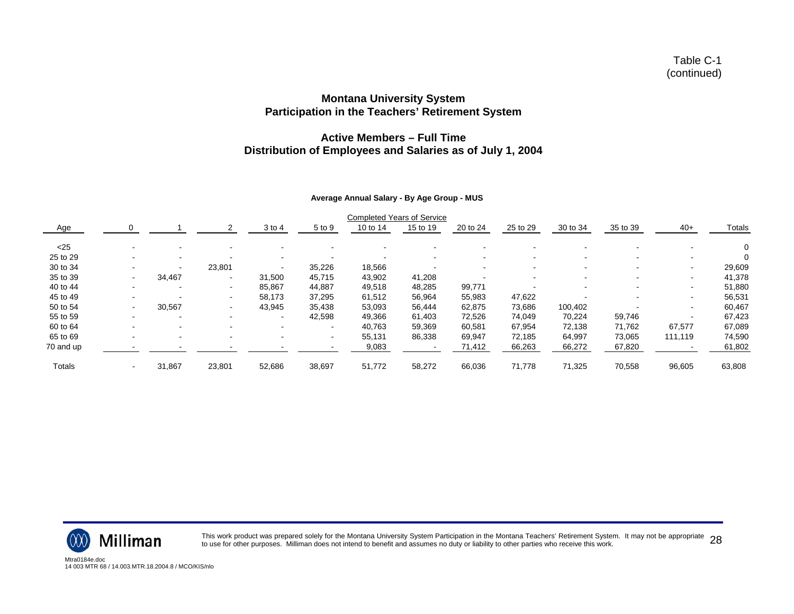#### **Active Members – Full TimeDistribution of Employees and Salaries as of July 1, 2004**

#### **Average Annual Salary - By Age Group - MUS**

|           |                          |        |        |                |                          | <b>Completed Years of Service</b> |          |          |          |          |          |         |        |
|-----------|--------------------------|--------|--------|----------------|--------------------------|-----------------------------------|----------|----------|----------|----------|----------|---------|--------|
| Age       |                          |        |        | $3$ to 4       | 5 to 9                   | 10 to 14                          | 15 to 19 | 20 to 24 | 25 to 29 | 30 to 34 | 35 to 39 | $40+$   | Totals |
| $25$      |                          |        |        |                |                          |                                   |          |          |          |          |          |         |        |
| 25 to 29  |                          | $\sim$ |        | $\blacksquare$ | $\overline{\phantom{a}}$ |                                   |          |          |          |          |          |         |        |
| 30 to 34  |                          | $\sim$ | 23,801 | ۰.             | 35,226                   | 18,566                            |          |          |          |          |          |         | 29,609 |
| 35 to 39  |                          | 34,467 | ۰      | 31.500         | 45,715                   | 43,902                            | 41,208   |          |          |          |          |         | 41,378 |
| 40 to 44  |                          | $\sim$ | -      | 85,867         | 44,887                   | 49,518                            | 48,285   | 99,771   |          |          |          |         | 51,880 |
| 45 to 49  |                          |        | -      | 58,173         | 37,295                   | 61,512                            | 56,964   | 55,983   | 47,622   |          |          |         | 56,531 |
| 50 to 54  | $\overline{\phantom{a}}$ | 30,567 | ۰      | 43,945         | 35.438                   | 53,093                            | 56,444   | 62,875   | 73,686   | 100,402  |          |         | 60,467 |
| 55 to 59  |                          |        |        |                | 42,598                   | 49,366                            | 61,403   | 72,526   | 74,049   | 70,224   | 59,746   |         | 67,423 |
| 60 to 64  |                          |        |        | -              | $\overline{\phantom{a}}$ | 40,763                            | 59,369   | 60,581   | 67,954   | 72.138   | 71,762   | 67,577  | 67,089 |
| 65 to 69  |                          |        |        | $\sim$         | $\sim$                   | 55,131                            | 86,338   | 69,947   | 72.185   | 64,997   | 73,065   | 111,119 | 74,590 |
| 70 and up |                          |        |        |                |                          | 9,083                             |          | 71,412   | 66,263   | 66,272   | 67,820   |         | 61,802 |
| Totals    |                          | 31,867 | 23,801 | 52,686         | 38,697                   | 51,772                            | 58,272   | 66,036   | 71,778   | 71,325   | 70,558   | 96,605  | 63,808 |



This work product was prepared solely for the Montana University System Participation in the Montana Teachers' Retirement System. It may not be appropriate  $~28$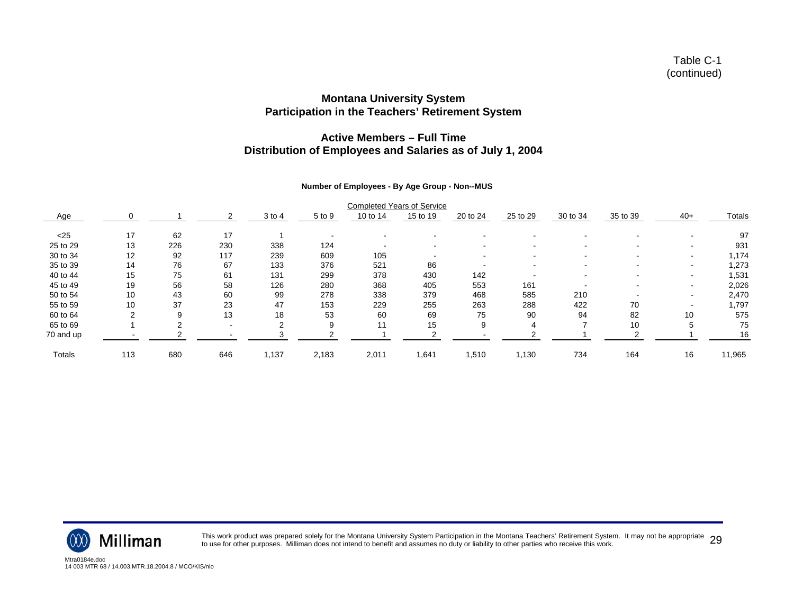#### **Active Members – Full TimeDistribution of Employees and Salaries as of July 1, 2004**

#### **Number of Employees - By Age Group - Non--MUS**

|           |     |          |     |        |        | <b>Completed Years of Service</b> |          |                          |          |          |          |       |        |
|-----------|-----|----------|-----|--------|--------|-----------------------------------|----------|--------------------------|----------|----------|----------|-------|--------|
| Age       |     |          |     | 3 to 4 | 5 to 9 | 10 to 14                          | 15 to 19 | 20 to 24                 | 25 to 29 | 30 to 34 | 35 to 39 | $40+$ | Totals |
| $25$      | 17  | 62       | 17  |        |        |                                   |          |                          |          |          |          |       | 97     |
| 25 to 29  | 13  | 226      | 230 | 338    | 124    | $\overline{\phantom{a}}$          |          | $\overline{\phantom{0}}$ | $\sim$   |          |          | . .   | 931    |
| 30 to 34  | 12  | 92       | 117 | 239    | 609    | 105                               |          |                          |          |          |          |       | 1,174  |
| 35 to 39  | 14  | 76       | 67  | 133    | 376    | 521                               | 86       |                          |          |          |          |       | 1,273  |
| 40 to 44  | 15  | 75       | 61  | 131    | 299    | 378                               | 430      | 142                      |          |          |          | . .   | 1,531  |
| 45 to 49  | 19  | 56       | 58  | 126    | 280    | 368                               | 405      | 553                      | 161      |          |          |       | 2,026  |
| 50 to 54  | 10  | 43       | 60  | 99     | 278    | 338                               | 379      | 468                      | 585      | 210      |          |       | 2,470  |
| 55 to 59  | 10  | 37       | 23  | 47     | 153    | 229                               | 255      | 263                      | 288      | 422      | 70       |       | 1,797  |
| 60 to 64  | ⌒   | 9        | 13  | 18     | 53     | 60                                | 69       | 75                       | 90       | 94       | 82       | 10    | 575    |
| 65 to 69  |     | $\Omega$ |     |        | 9      | 11                                | 15       | 9                        |          |          | 10       | 5     | 75     |
| 70 and up |     |          |     |        |        |                                   |          |                          |          |          |          |       | 16     |
| Totals    | 113 | 680      | 646 | 1,137  | 2,183  | 2,011                             | 1,641    | .510                     | 1,130    | 734      | 164      | 16    | 11,965 |



This work product was prepared solely for the Montana University System Participation in the Montana Teachers' Retirement System. It may not be appropriate 29 to use for other purposes. Milliman does not intend to benefit and assumes no duty or liability to other parties who receive this work. <sup>29</sup>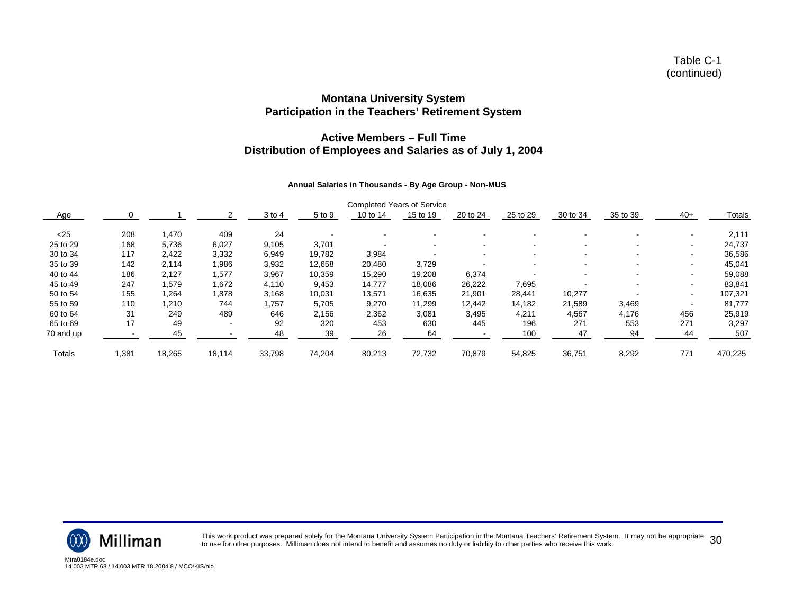#### **Active Members – Full TimeDistribution of Employees and Salaries as of July 1, 2004**

#### **Annual Salaries in Thousands - By Age Group - Non-MUS**

|           |       |        |        |        |        | <b>Completed Years of Service</b> |          |                          |          |                          |          |                          |         |
|-----------|-------|--------|--------|--------|--------|-----------------------------------|----------|--------------------------|----------|--------------------------|----------|--------------------------|---------|
| Age       |       |        |        | 3 to 4 | 5 to 9 | 10 to 14                          | 15 to 19 | 20 to 24                 | 25 to 29 | 30 to 34                 | 35 to 39 | $40+$                    | Totals  |
| $25$      | 208   | 470، ا | 409    | 24     |        |                                   |          |                          |          |                          |          |                          | 2,111   |
| 25 to 29  | 168   | 5.736  | 6,027  | 9,105  | 3,701  | $\overline{\phantom{a}}$          | $\sim$   | $\overline{\phantom{0}}$ |          | $\overline{\phantom{a}}$ |          | $\overline{\phantom{a}}$ | 24,737  |
| 30 to 34  | 117   | 2,422  | 3,332  | 6,949  | 19,782 | 3,984                             |          |                          |          |                          |          |                          | 36,586  |
| 35 to 39  | 142   | 2,114  | 1,986  | 3,932  | 12,658 | 20,480                            | 3,729    |                          |          |                          |          | $\,$                     | 45,041  |
| 40 to 44  | 186   | 2,127  | 1,577  | 3,967  | 10,359 | 15,290                            | 19,208   | 6,374                    |          | -                        |          | ۰.                       | 59,088  |
| 45 to 49  | 247   | .579   | 1,672  | 4,110  | 9,453  | 14,777                            | 18,086   | 26,222                   | 7,695    |                          |          |                          | 83,841  |
| 50 to 54  | 155   | 1,264  | 1,878  | 3,168  | 10,031 | 13,571                            | 16,635   | 21,901                   | 28,441   | 10,277                   |          | $\overline{\phantom{a}}$ | 107,321 |
| 55 to 59  | 110   | 1.210  | 744    | 1.757  | 5.705  | 9,270                             | 11.299   | 12.442                   | 14.182   | 21,589                   | 3,469    |                          | 81,777  |
| 60 to 64  | 31    | 249    | 489    | 646    | 2,156  | 2,362                             | 3,081    | 3,495                    | 4,211    | 4,567                    | 4,176    | 456                      | 25,919  |
| 65 to 69  | 17    | 49     |        | 92     | 320    | 453                               | 630      | 445                      | 196      | 271                      | 553      | 271                      | 3,297   |
| 70 and up |       | 45     |        | 48     | 39     | 26                                | 64       |                          | 100      | 47                       | 94       | 44                       | 507     |
| Totals    | 1,381 | 18,265 | 18,114 | 33,798 | 74,204 | 80,213                            | 72,732   | 70,879                   | 54,825   | 36,751                   | 8,292    | 771                      | 470,225 |



This work product was prepared solely for the Montana University System Participation in the Montana Teachers' Retirement System. It may not be appropriate 30 to use for other purposes. Milliman does not intend to benefit and assumes no duty or liability to other parties who receive this work.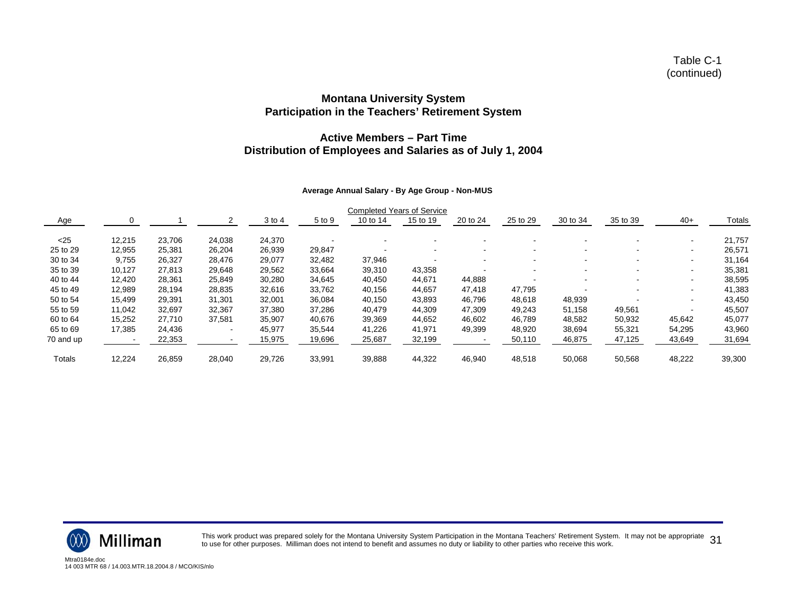#### **Active Members – Part TimeDistribution of Employees and Salaries as of July 1, 2004**

#### **Average Annual Salary - By Age Group - Non-MUS**

|           |        |        |                          |        |        |          | <b>Completed Years of Service</b> |                          |          |                          |          |                          |        |
|-----------|--------|--------|--------------------------|--------|--------|----------|-----------------------------------|--------------------------|----------|--------------------------|----------|--------------------------|--------|
| Age       |        |        |                          | 3 to 4 | 5 to 9 | 10 to 14 | 15 to 19                          | 20 to 24                 | 25 to 29 | 30 to 34                 | 35 to 39 | $40+$                    | Totals |
| $25$      | 12,215 | 23.706 | 24,038                   | 24,370 |        |          |                                   |                          |          |                          |          |                          | 21,757 |
| 25 to 29  | 12,955 | 25,381 | 26,204                   | 26,939 | 29,847 |          |                                   | $\overline{\phantom{a}}$ |          | $\sim$                   |          | $\overline{\phantom{a}}$ | 26,571 |
| 30 to 34  | 9,755  | 26,327 | 28,476                   | 29,077 | 32.482 | 37,946   |                                   | $\overline{\phantom{a}}$ |          | $\overline{\phantom{0}}$ |          |                          | 31,164 |
| 35 to 39  | 10,127 | 27,813 | 29,648                   | 29,562 | 33,664 | 39,310   | 43,358                            |                          |          |                          |          | $\overline{\phantom{a}}$ | 35,381 |
| 40 to 44  | 12.420 | 28,361 | 25,849                   | 30,280 | 34,645 | 40,450   | 44.671                            | 44,888                   |          |                          |          |                          | 38,595 |
| 45 to 49  | 12,989 | 28.194 | 28,835                   | 32,616 | 33,762 | 40,156   | 44,657                            | 47,418                   | 47,795   |                          |          |                          | 41,383 |
| 50 to 54  | 15,499 | 29,391 | 31,301                   | 32,001 | 36,084 | 40,150   | 43,893                            | 46,796                   | 48,618   | 48,939                   |          |                          | 43,450 |
| 55 to 59  | 11,042 | 32,697 | 32,367                   | 37,380 | 37.286 | 40,479   | 44,309                            | 47,309                   | 49,243   | 51,158                   | 49,561   |                          | 45,507 |
| 60 to 64  | 15,252 | 27.710 | 37,581                   | 35,907 | 40,676 | 39,369   | 44,652                            | 46,602                   | 46.789   | 48,582                   | 50,932   | 45,642                   | 45,077 |
| 65 to 69  | 17,385 | 24,436 | $\overline{\phantom{a}}$ | 45,977 | 35,544 | 41,226   | 41,971                            | 49,399                   | 48,920   | 38,694                   | 55,321   | 54,295                   | 43,960 |
| 70 and up |        | 22,353 |                          | 15,975 | 19,696 | 25,687   | 32,199                            |                          | 50,110   | 46,875                   | 47,125   | 43,649                   | 31,694 |
| Totals    | 12,224 | 26,859 | 28,040                   | 29,726 | 33,991 | 39,888   | 44,322                            | 46,940                   | 48,518   | 50,068                   | 50,568   | 48,222                   | 39,300 |



This work product was prepared solely for the Montana University System Participation in the Montana Teachers' Retirement System. It may not be appropriate 31 to use for other purposes. Milliman does not intend to benefit and assumes no duty or liability to other parties who receive this work.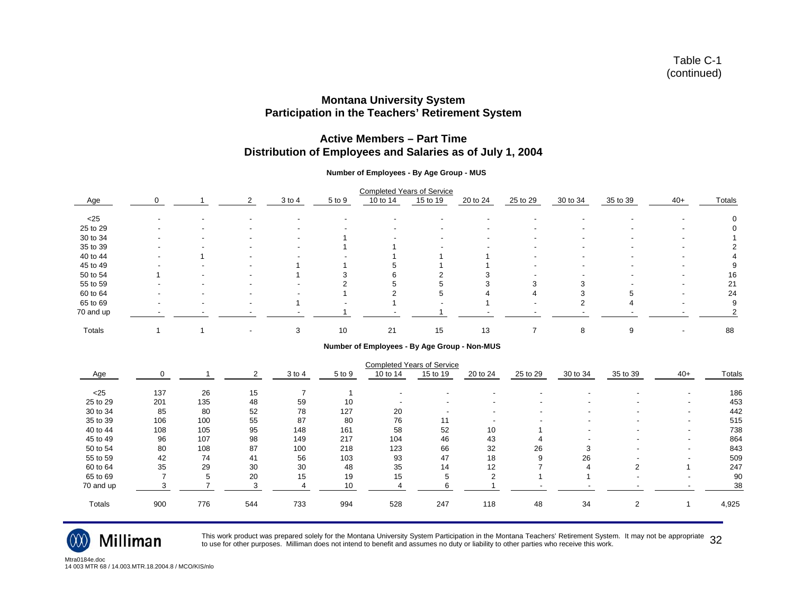#### **Active Members – Part Time Distribution of Employees and Salaries as of July 1, 2004**

#### **Number of Employees - By Age Group - MUS**

|           |                          |                          |        |                          |          | <b>Completed Years of Service</b> |                          |                          |          |          |                          |        |
|-----------|--------------------------|--------------------------|--------|--------------------------|----------|-----------------------------------|--------------------------|--------------------------|----------|----------|--------------------------|--------|
| Age       | $\Omega$                 | 2                        | 3 to 4 | 5 to 9                   | 10 to 14 | 15 to 19                          | 20 to 24                 | 25 to 29                 | 30 to 34 | 35 to 39 | $40+$                    | Totals |
| $<$ 25    |                          | $\overline{\phantom{a}}$ |        | $\overline{\phantom{a}}$ |          |                                   | $\overline{\phantom{0}}$ |                          |          |          | $\overline{\phantom{a}}$ |        |
| 25 to 29  | $\overline{\phantom{a}}$ | $\overline{\phantom{a}}$ |        |                          |          | $\overline{\phantom{a}}$          | ٠                        | -                        |          |          | -                        |        |
| 30 to 34  |                          |                          |        |                          |          |                                   |                          |                          |          |          |                          |        |
| 35 to 39  |                          | $\overline{\phantom{a}}$ |        |                          |          | $\overline{\phantom{a}}$          | $\overline{\phantom{0}}$ |                          |          |          | -                        |        |
| 40 to 44  | $\overline{\phantom{a}}$ | $\overline{\phantom{0}}$ |        |                          |          |                                   |                          | $\overline{\phantom{a}}$ |          |          | $\overline{\phantom{a}}$ |        |
| 45 to 49  |                          | $\overline{\phantom{a}}$ |        |                          |          |                                   |                          |                          |          |          | $\overline{\phantom{a}}$ | 9      |
| 50 to 54  |                          | $\overline{\phantom{a}}$ |        |                          |          |                                   |                          |                          |          |          | $\overline{\phantom{a}}$ | 16     |
| 55 to 59  |                          |                          |        |                          |          |                                   |                          | з                        |          |          | $\overline{\phantom{a}}$ | 21     |
| 60 to 64  | -                        |                          |        |                          |          |                                   |                          |                          |          |          | ۰.                       | 24     |
| 65 to 69  | -                        | $\,$                     |        |                          |          |                                   |                          |                          |          | 4        | ۰.                       | 9      |
| 70 and up |                          |                          |        |                          |          |                                   |                          |                          |          |          |                          |        |
| Totals    |                          | $\blacksquare$           | 3      | 10                       | 21       | 15                                | 13                       |                          | 8        | 9        | $\overline{\phantom{a}}$ | 88     |

#### **Number of Employees - By Age Group - Non-MUS**

|               |     |     |     |            |        | <b>Completed Years of Service</b> |                          |                          |          |                          |                          |                          |        |
|---------------|-----|-----|-----|------------|--------|-----------------------------------|--------------------------|--------------------------|----------|--------------------------|--------------------------|--------------------------|--------|
| Age           |     |     |     | $3$ to $4$ | 5 to 9 | 10 to 14                          | 15 to 19                 | 20 to 24                 | 25 to 29 | 30 to 34                 | 35 to 39                 | $40+$                    | Totals |
| < 25          | 137 | 26  | 15  |            |        |                                   | -                        |                          |          |                          |                          | ٠                        | 186    |
| 25 to 29      | 201 | 135 | 48  | 59         | 10     |                                   | $\overline{\phantom{a}}$ | $\overline{\phantom{a}}$ |          | $\overline{\phantom{a}}$ | $\overline{\phantom{0}}$ | $\overline{\phantom{a}}$ | 453    |
| 30 to 34      | 85  | 80  | 52  | 78         | 127    | 20                                | $\overline{\phantom{a}}$ | $\overline{\phantom{a}}$ |          |                          |                          | $\overline{\phantom{a}}$ | 442    |
| 35 to 39      | 106 | 100 | 55  | 87         | 80     | 76                                | 11                       |                          |          |                          |                          | $\overline{\phantom{a}}$ | 515    |
| 40 to 44      | 108 | 105 | 95  | 148        | 161    | 58                                | 52                       | 10                       |          |                          | $\overline{\phantom{0}}$ | $\overline{\phantom{a}}$ | 738    |
| 45 to 49      | 96  | 107 | 98  | 149        | 217    | 104                               | 46                       | 43                       |          |                          |                          | $\overline{\phantom{a}}$ | 864    |
| 50 to 54      | 80  | 108 | 87  | 100        | 218    | 123                               | 66                       | 32                       | 26       | 3                        |                          | $\overline{\phantom{a}}$ | 843    |
| 55 to 59      | 42  | 74  | 41  | 56         | 103    | 93                                | 47                       | 18                       | 9        | 26                       |                          | $\overline{\phantom{a}}$ | 509    |
| 60 to 64      | 35  | 29  | 30  | 30         | 48     | 35                                | 14                       | 12                       |          |                          | ົ                        |                          | 247    |
| 65 to 69      |     | 5   | 20  | 15         | 19     | 15                                | b                        | ◠                        |          |                          |                          | $\overline{\phantom{a}}$ | 90     |
| 70 and up     |     |     |     |            | 10     |                                   |                          |                          |          |                          |                          |                          | 38     |
| <b>Totals</b> | 900 | 776 | 544 | 733        | 994    | 528                               | 247                      | 118                      | 48       | 34                       | $\sim$                   |                          | 4,925  |



This work product was prepared solely for the Montana University System Participation in the Montana Teachers' Retirement System. It may not be appropriate  $\,32$ <br>to use for other purposes. Milliman does not intend to bene

Mtra0184e.doc14 003 MTR 68 / 14.003.MTR.18.2004.8 / MCO/KIS/nlo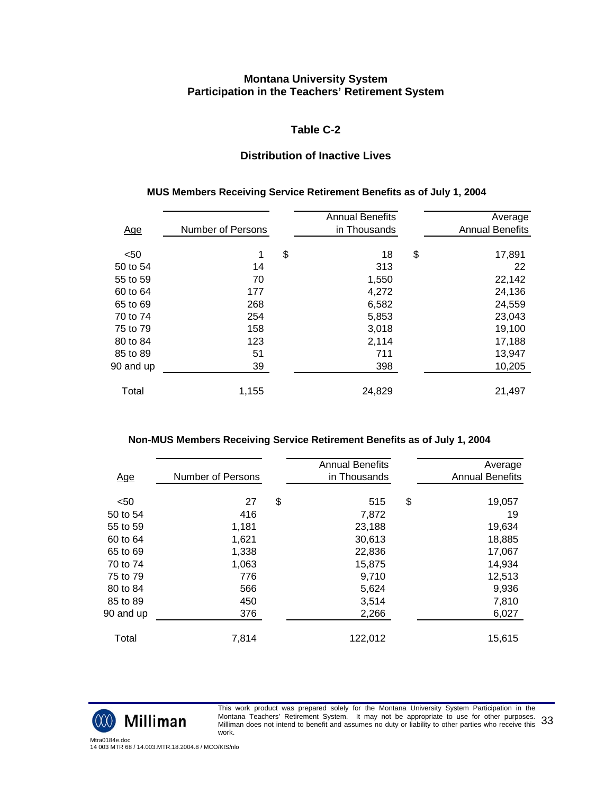#### **Table C-2**

## **Distribution of Inactive Lives**

#### **MUS Members Receiving Service Retirement Benefits as of July 1, 2004**

|            |                   | <b>Annual Benefits</b> | Average                |
|------------|-------------------|------------------------|------------------------|
| <u>Age</u> | Number of Persons | in Thousands           | <b>Annual Benefits</b> |
|            |                   |                        |                        |
| $50$       | 1                 | \$<br>18               | \$<br>17,891           |
| 50 to 54   | 14                | 313                    | 22                     |
| 55 to 59   | 70                | 1,550                  | 22,142                 |
| 60 to 64   | 177               | 4,272                  | 24,136                 |
| 65 to 69   | 268               | 6,582                  | 24,559                 |
| 70 to 74   | 254               | 5,853                  | 23,043                 |
| 75 to 79   | 158               | 3,018                  | 19,100                 |
| 80 to 84   | 123               | 2,114                  | 17,188                 |
| 85 to 89   | 51                | 711                    | 13,947                 |
| 90 and up  | 39                | 398                    | 10,205                 |
|            |                   |                        |                        |
| Total      | 1,155             | 24,829                 | 21,497                 |

#### **Non-MUS Members Receiving Service Retirement Benefits as of July 1, 2004**

| Age       | <b>Number of Persons</b> | <b>Annual Benefits</b><br>in Thousands | Average<br><b>Annual Benefits</b> |
|-----------|--------------------------|----------------------------------------|-----------------------------------|
|           |                          |                                        |                                   |
| $50$      | 27                       | \$<br>515                              | \$<br>19,057                      |
| 50 to 54  | 416                      | 7,872                                  | 19                                |
| 55 to 59  | 1,181                    | 23,188                                 | 19,634                            |
| 60 to 64  | 1,621                    | 30,613                                 | 18,885                            |
| 65 to 69  | 1,338                    | 22,836                                 | 17,067                            |
| 70 to 74  | 1,063                    | 15,875                                 | 14,934                            |
| 75 to 79  | 776                      | 9,710                                  | 12,513                            |
| 80 to 84  | 566                      | 5,624                                  | 9,936                             |
| 85 to 89  | 450                      | 3,514                                  | 7,810                             |
| 90 and up | 376                      | 2,266                                  | 6,027                             |
| Total     | 7,814                    | 122,012                                | 15,615                            |
|           |                          |                                        |                                   |



This work product was prepared solely for the Montana University System Participation in the Montana Teachers' Retirement System. It may not be appropriate to use for other purposes. Montana Teacners' Retirement System. To may not be appropriate to use for other purposes. 33<br>Milliman does not intend to benefit and assumes no duty or liability to other parties who receive this 33 work.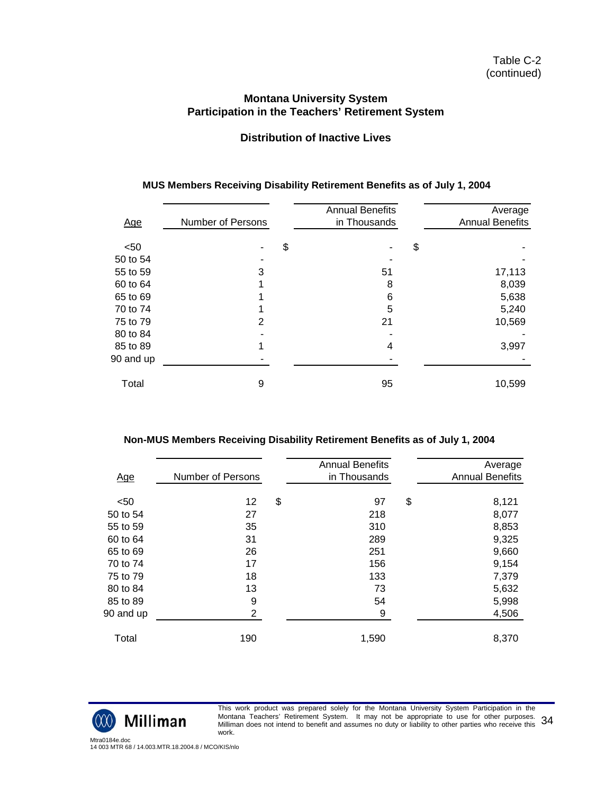## **Distribution of Inactive Lives**

| Age       | <b>Number of Persons</b> | <b>Annual Benefits</b><br>in Thousands | Average<br><b>Annual Benefits</b> |
|-----------|--------------------------|----------------------------------------|-----------------------------------|
|           |                          |                                        |                                   |
| $50$      |                          | \$                                     | \$                                |
| 50 to 54  |                          |                                        |                                   |
| 55 to 59  | 3                        | 51                                     | 17,113                            |
| 60 to 64  |                          | 8                                      | 8,039                             |
| 65 to 69  |                          | 6                                      | 5,638                             |
| 70 to 74  |                          | 5                                      | 5,240                             |
| 75 to 79  | 2                        | 21                                     | 10,569                            |
| 80 to 84  |                          |                                        |                                   |
| 85 to 89  |                          | 4                                      | 3,997                             |
| 90 and up |                          |                                        |                                   |
|           |                          |                                        |                                   |
| Total     | 9                        | 95                                     | 10,599                            |
|           |                          |                                        |                                   |

# **MUS Members Receiving Disability Retirement Benefits as of July 1, 2004**

| Non-MUS Members Receiving Disability Retirement Benefits as of July 1, 2004 |  |  |
|-----------------------------------------------------------------------------|--|--|
|                                                                             |  |  |

|            |                          | <b>Annual Benefits</b> | Average                |
|------------|--------------------------|------------------------|------------------------|
| <u>Age</u> | <b>Number of Persons</b> | in Thousands           | <b>Annual Benefits</b> |
|            |                          |                        |                        |
| $50$       | 12                       | \$<br>97               | \$<br>8,121            |
| 50 to 54   | 27                       | 218                    | 8,077                  |
| 55 to 59   | 35                       | 310                    | 8,853                  |
| 60 to 64   | 31                       | 289                    | 9,325                  |
| 65 to 69   | 26                       | 251                    | 9,660                  |
| 70 to 74   | 17                       | 156                    | 9,154                  |
| 75 to 79   | 18                       | 133                    | 7,379                  |
| 80 to 84   | 13                       | 73                     | 5,632                  |
| 85 to 89   | 9                        | 54                     | 5,998                  |
| 90 and up  | $\overline{2}$           | 9                      | 4,506                  |
|            |                          |                        |                        |
| Total      | 190                      | 1,590                  | 8,370                  |
|            |                          |                        |                        |



This work product was prepared solely for the Montana University System Participation in the Montana Teachers' Retirement System. It may not be appropriate to use for other purposes. Montana Teacners' Retirement System. To may not be appropriate to use for other purposes. 34<br>Milliman does not intend to benefit and assumes no duty or liability to other parties who receive this 34 work.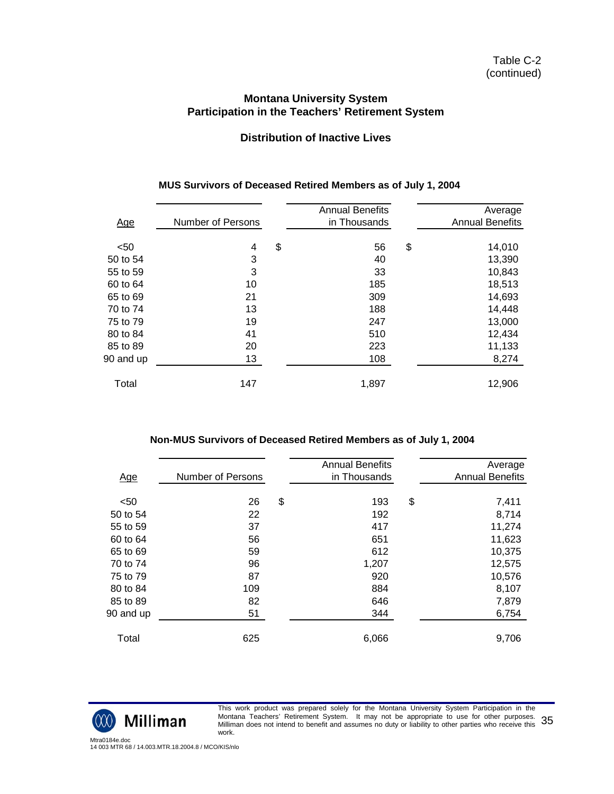## **Distribution of Inactive Lives**

|            |                   | <b>Annual Benefits</b> | Average                |
|------------|-------------------|------------------------|------------------------|
| <u>Age</u> | Number of Persons | in Thousands           | <b>Annual Benefits</b> |
|            |                   |                        |                        |
| $50$       | 4                 | \$<br>56               | \$<br>14,010           |
| 50 to 54   | 3                 | 40                     | 13,390                 |
| 55 to 59   | 3                 | 33                     | 10,843                 |
| 60 to 64   | 10                | 185                    | 18,513                 |
| 65 to 69   | 21                | 309                    | 14,693                 |
| 70 to 74   | 13                | 188                    | 14,448                 |
| 75 to 79   | 19                | 247                    | 13,000                 |
| 80 to 84   | 41                | 510                    | 12,434                 |
| 85 to 89   | 20                | 223                    | 11,133                 |
| 90 and up  | 13                | 108                    | 8,274                  |
|            |                   |                        |                        |
| Total      | 147               | 1,897                  | 12,906                 |
|            |                   |                        |                        |

#### **MUS Survivors of Deceased Retired Members as of July 1, 2004**

#### **Non-MUS Survivors of Deceased Retired Members as of July 1, 2004**

| <u>Age</u> | Number of Persons | <b>Annual Benefits</b><br>in Thousands | Average<br><b>Annual Benefits</b> |
|------------|-------------------|----------------------------------------|-----------------------------------|
| $50$       | 26                | \$<br>193                              | \$<br>7,411                       |
| 50 to 54   | 22                | 192                                    | 8,714                             |
| 55 to 59   | 37                | 417                                    | 11,274                            |
| 60 to 64   | 56                | 651                                    | 11,623                            |
| 65 to 69   | 59                | 612                                    | 10,375                            |
| 70 to 74   | 96                | 1,207                                  | 12,575                            |
| 75 to 79   | 87                | 920                                    | 10,576                            |
| 80 to 84   | 109               | 884                                    | 8,107                             |
| 85 to 89   | 82                | 646                                    | 7,879                             |
| 90 and up  | 51                | 344                                    | 6,754                             |
| Total      | 625               | 6,066                                  | 9,706                             |



This work product was prepared solely for the Montana University System Participation in the Montana Teachers' Retirement System. It may not be appropriate to use for other purposes. Montana Teacners' Retirement System. To may not be appropriate to use for other purposes. 35<br>Milliman does not intend to benefit and assumes no duty or liability to other parties who receive this 35 work.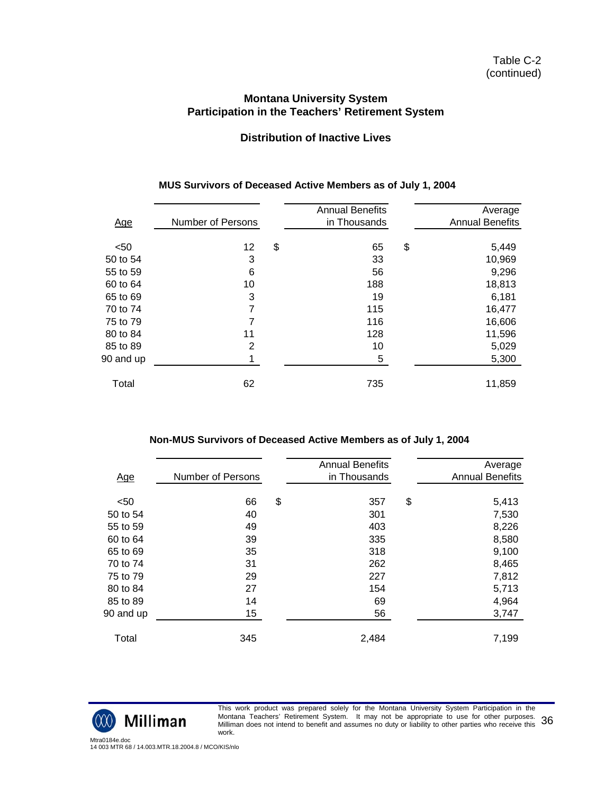## **Distribution of Inactive Lives**

| <u>Age</u> | <b>Number of Persons</b> | <b>Annual Benefits</b><br>in Thousands | Average<br><b>Annual Benefits</b> |
|------------|--------------------------|----------------------------------------|-----------------------------------|
|            |                          |                                        |                                   |
| $50$       | 12                       | \$<br>65                               | \$<br>5,449                       |
| 50 to 54   | 3                        | 33                                     | 10,969                            |
| 55 to 59   | 6                        | 56                                     | 9,296                             |
| 60 to 64   | 10                       | 188                                    | 18,813                            |
| 65 to 69   | 3                        | 19                                     | 6,181                             |
| 70 to 74   | 7                        | 115                                    | 16,477                            |
| 75 to 79   | $\overline{7}$           | 116                                    | 16,606                            |
| 80 to 84   | 11                       | 128                                    | 11,596                            |
| 85 to 89   | $\overline{2}$           | 10                                     | 5,029                             |
| 90 and up  |                          | 5                                      | 5,300                             |
|            |                          |                                        |                                   |
| Total      | 62                       | 735                                    | 11,859                            |
|            |                          |                                        |                                   |

## **MUS Survivors of Deceased Active Members as of July 1, 2004**

#### **Non-MUS Survivors of Deceased Active Members as of July 1, 2004**

| <u>Age</u> | <b>Number of Persons</b> | <b>Annual Benefits</b><br>in Thousands | Average<br><b>Annual Benefits</b> |
|------------|--------------------------|----------------------------------------|-----------------------------------|
|            |                          |                                        |                                   |
| $50$       | 66                       | \$<br>357                              | \$<br>5,413                       |
| 50 to 54   | 40                       | 301                                    | 7,530                             |
| 55 to 59   | 49                       | 403                                    | 8,226                             |
| 60 to 64   | 39                       | 335                                    | 8,580                             |
| 65 to 69   | 35                       | 318                                    | 9,100                             |
| 70 to 74   | 31                       | 262                                    | 8,465                             |
| 75 to 79   | 29                       | 227                                    | 7,812                             |
| 80 to 84   | 27                       | 154                                    | 5,713                             |
| 85 to 89   | 14                       | 69                                     | 4,964                             |
| 90 and up  | 15                       | 56                                     | 3,747                             |
|            |                          |                                        |                                   |
| Total      | 345                      | 2,484                                  | 7,199                             |
|            |                          |                                        |                                   |



This work product was prepared solely for the Montana University System Participation in the Montana Teachers' Retirement System. It may not be appropriate to use for other purposes. montana Teacners' Retirement System. To may not be appropriate to use for other purposes.  $36$ work.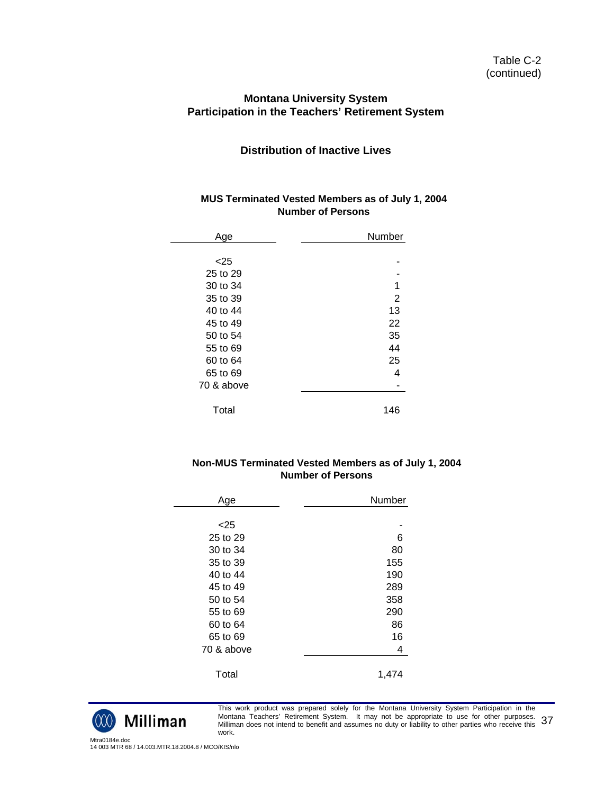#### Table C-2 (continued)

#### **Montana University System Participation in the Teachers' Retirement System**

# **Distribution of Inactive Lives**

#### **MUS Terminated Vested Members as of July 1, 2004 Number of Persons**

| Age        | Number |
|------------|--------|
|            |        |
| $<$ 25     |        |
| 25 to 29   |        |
| 30 to 34   | 1      |
| 35 to 39   | 2      |
| 40 to 44   | 13     |
| 45 to 49   | 22     |
| 50 to 54   | 35     |
| 55 to 69   | 44     |
| 60 to 64   | 25     |
| 65 to 69   | 4      |
| 70 & above |        |
| Total      | 146    |
|            |        |

#### **Non-MUS Terminated Vested Members as of July 1, 2004 Number of Persons**

| Age        | Number |
|------------|--------|
|            |        |
| < 25       |        |
| 25 to 29   | 6      |
| 30 to 34   | 80     |
| 35 to 39   | 155    |
| 40 to 44   | 190    |
| 45 to 49   | 289    |
| 50 to 54   | 358    |
| 55 to 69   | 290    |
| 60 to 64   | 86     |
| 65 to 69   | 16     |
| 70 & above | 4      |
|            |        |
| Total      | 1,474  |



This work product was prepared solely for the Montana University System Participation in the Montana Teachers' Retirement System. It may not be appropriate to use for other purposes. Montana Teacners' Retirement System. To may not be appropriate to use for other purposes. 37<br>Milliman does not intend to benefit and assumes no duty or liability to other parties who receive this 37 work.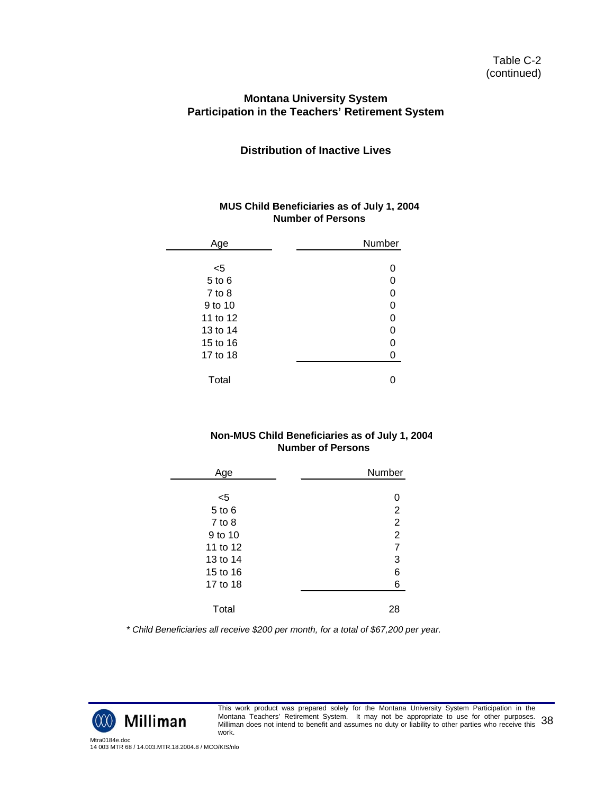#### **Distribution of Inactive Lives**

#### **MUS Child Beneficiaries as of July 1, 2004 Number of Persons**

| Age        | Number |
|------------|--------|
|            |        |
| <5         |        |
| 5 to 6     | 0      |
| $7$ to $8$ | 0      |
| 9 to 10    | 0      |
| 11 to 12   | 0      |
| 13 to 14   | 0      |
| 15 to 16   | 0      |
| 17 to 18   |        |
|            |        |
| Total      |        |

#### **Non-MUS Child Beneficiaries as of July 1, 2004 Number of Persons**

| Age        | Number         |
|------------|----------------|
|            |                |
| $<$ 5      | 0              |
| $5$ to $6$ | $\overline{2}$ |
| $7$ to $8$ | $\overline{2}$ |
| 9 to 10    | $\overline{2}$ |
| 11 to 12   | $\overline{7}$ |
| 13 to 14   | 3              |
| 15 to 16   | 6              |
| 17 to 18   | 6              |
|            |                |
| Total      | 28             |

*\* Child Beneficiaries all receive \$200 per month, for a total of \$67,200 per year.*



This work product was prepared solely for the Montana University System Participation in the Montana Teachers' Retirement System. It may not be appropriate to use for other purposes. Montana Teacners' Retirement System. To may not be appropriate to use for other purposes. 38<br>Milliman does not intend to benefit and assumes no duty or liability to other parties who receive this 38 work.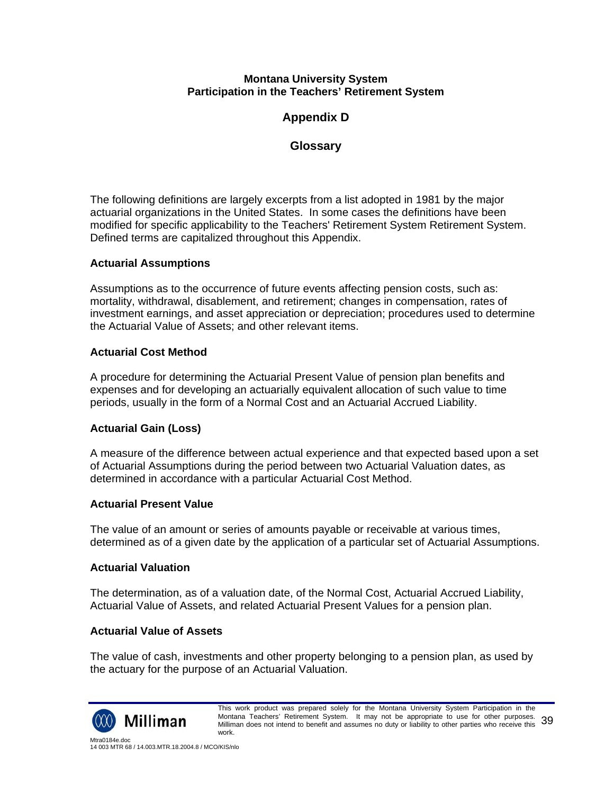# **Appendix D**

# **Glossary**

The following definitions are largely excerpts from a list adopted in 1981 by the major actuarial organizations in the United States. In some cases the definitions have been modified for specific applicability to the Teachers' Retirement System Retirement System. Defined terms are capitalized throughout this Appendix.

### **Actuarial Assumptions**

Assumptions as to the occurrence of future events affecting pension costs, such as: mortality, withdrawal, disablement, and retirement; changes in compensation, rates of investment earnings, and asset appreciation or depreciation; procedures used to determine the Actuarial Value of Assets; and other relevant items.

### **Actuarial Cost Method**

A procedure for determining the Actuarial Present Value of pension plan benefits and expenses and for developing an actuarially equivalent allocation of such value to time periods, usually in the form of a Normal Cost and an Actuarial Accrued Liability.

# **Actuarial Gain (Loss)**

A measure of the difference between actual experience and that expected based upon a set of Actuarial Assumptions during the period between two Actuarial Valuation dates, as determined in accordance with a particular Actuarial Cost Method.

### **Actuarial Present Value**

The value of an amount or series of amounts payable or receivable at various times, determined as of a given date by the application of a particular set of Actuarial Assumptions.

### **Actuarial Valuation**

The determination, as of a valuation date, of the Normal Cost, Actuarial Accrued Liability, Actuarial Value of Assets, and related Actuarial Present Values for a pension plan.

### **Actuarial Value of Assets**

The value of cash, investments and other property belonging to a pension plan, as used by the actuary for the purpose of an Actuarial Valuation.